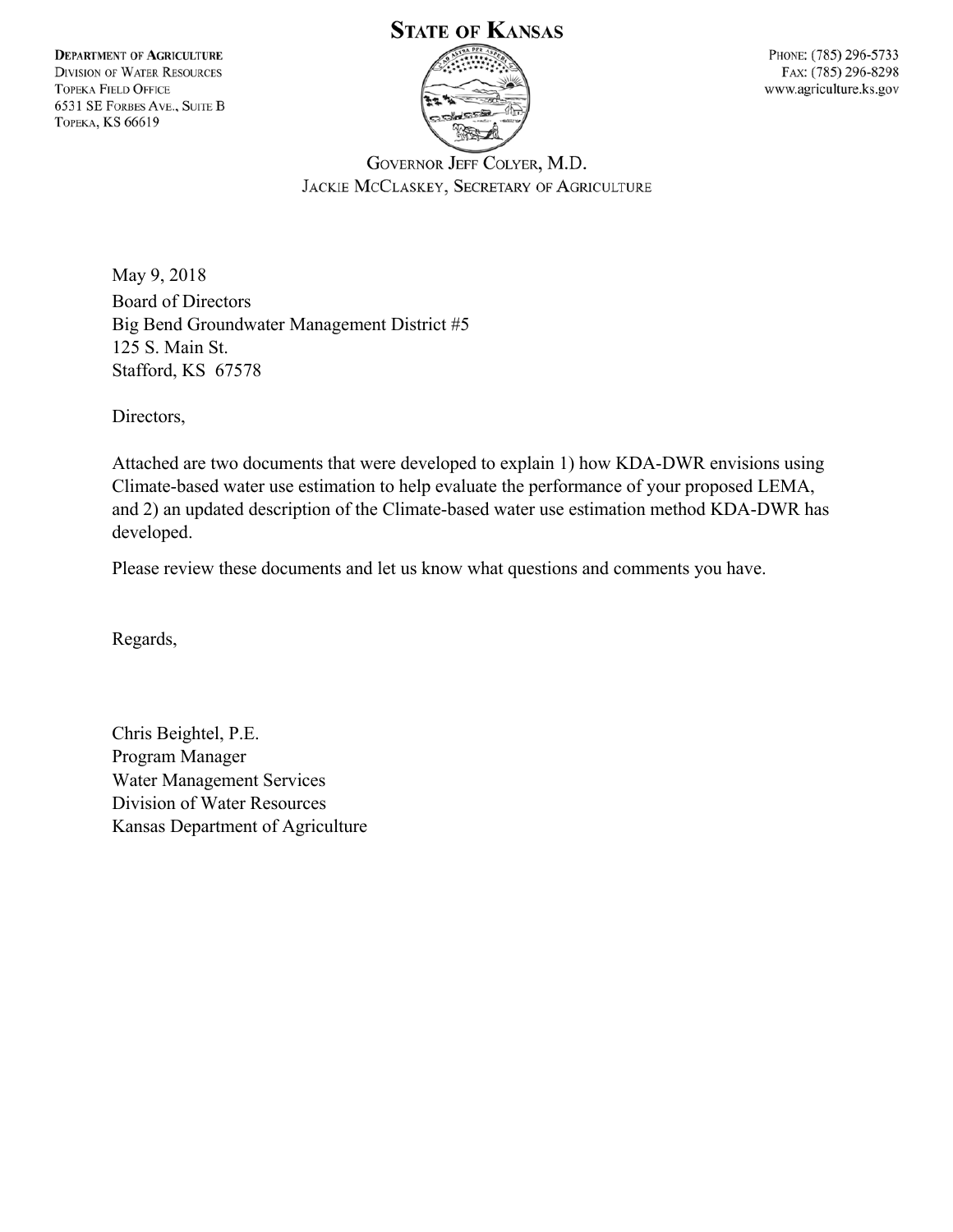#### **DEPARTMENT OF AGRICULTURE DIVISION OF WATER RESOURCES TOPEKA FIELD OFFICE** 6531 SE FORBES AVE., SUITE B **ТОРЕКА, KS 66619**

# **STATE OF KANSAS**



PHONE: (785) 296-5733 FAX: (785) 296-8298 www.agriculture.ks.gov

GOVERNOR JEFF COLYER, M.D. JACKIE MCCLASKEY, SECRETARY OF AGRICULTURE

May 9, 2018 Board of Directors Big Bend Groundwater Management District #5 125 S. Main St. Stafford, KS 67578

Directors,

Attached are two documents that were developed to explain 1) how KDA-DWR envisions using Climate-based water use estimation to help evaluate the performance of your proposed LEMA, and 2) an updated description of the Climate-based water use estimation method KDA-DWR has developed.

Please review these documents and let us know what questions and comments you have.

Regards,

Chris Beightel, P.E. Program Manager Water Management Services Division of Water Resources Kansas Department of Agriculture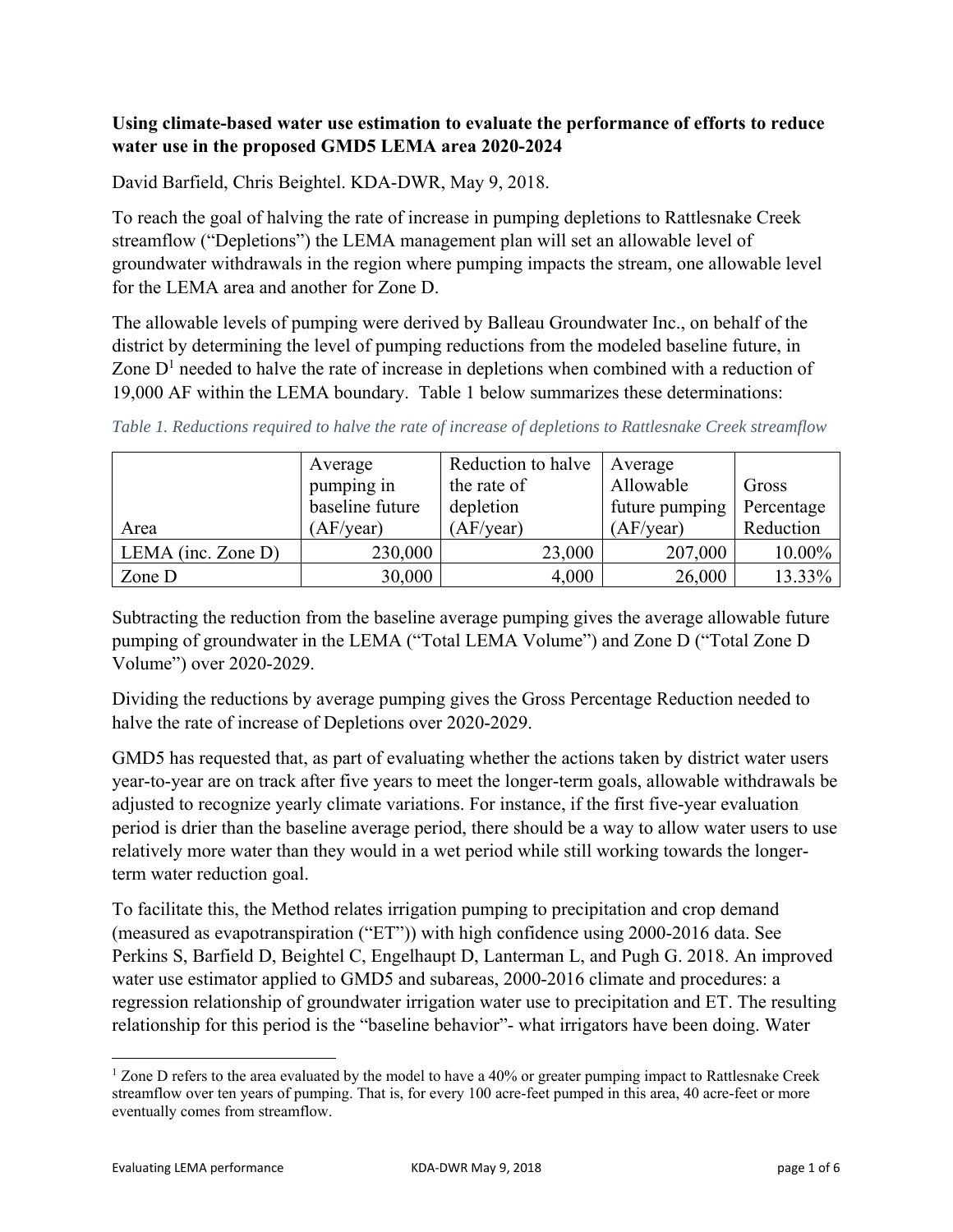### **Using climate-based water use estimation to evaluate the performance of efforts to reduce water use in the proposed GMD5 LEMA area 2020-2024**

David Barfield, Chris Beightel. KDA-DWR, May 9, 2018.

To reach the goal of halving the rate of increase in pumping depletions to Rattlesnake Creek streamflow ("Depletions") the LEMA management plan will set an allowable level of groundwater withdrawals in the region where pumping impacts the stream, one allowable level for the LEMA area and another for Zone D.

The allowable levels of pumping were derived by Balleau Groundwater Inc., on behalf of the district by determining the level of pumping reductions from the modeled baseline future, in Zone  $D<sup>1</sup>$  needed to halve the rate of increase in depletions when combined with a reduction of 19,000 AF within the LEMA boundary. Table 1 below summarizes these determinations:

| Table 1. Reductions required to halve the rate of increase of depletions to Rattlesnake Creek streamflow |  |  |
|----------------------------------------------------------------------------------------------------------|--|--|
|                                                                                                          |  |  |

|                       | Average         | Reduction to halve | Average        |            |
|-----------------------|-----------------|--------------------|----------------|------------|
|                       | pumping in      | the rate of        | Allowable      | Gross      |
|                       | baseline future | depletion          | future pumping | Percentage |
| Area                  | (AF/year)       | (AF/year)          | (AF/year)      | Reduction  |
| LEMA (inc. Zone $D$ ) | 230,000         | 23,000             | 207,000        | 10.00%     |
| Zone D                | 30,000          | 4,000              | 26,000         | 13.33%     |

Subtracting the reduction from the baseline average pumping gives the average allowable future pumping of groundwater in the LEMA ("Total LEMA Volume") and Zone D ("Total Zone D Volume") over 2020-2029.

Dividing the reductions by average pumping gives the Gross Percentage Reduction needed to halve the rate of increase of Depletions over 2020-2029.

GMD5 has requested that, as part of evaluating whether the actions taken by district water users year-to-year are on track after five years to meet the longer-term goals, allowable withdrawals be adjusted to recognize yearly climate variations. For instance, if the first five-year evaluation period is drier than the baseline average period, there should be a way to allow water users to use relatively more water than they would in a wet period while still working towards the longerterm water reduction goal.

To facilitate this, the Method relates irrigation pumping to precipitation and crop demand (measured as evapotranspiration ("ET")) with high confidence using 2000-2016 data. See Perkins S, Barfield D, Beightel C, Engelhaupt D, Lanterman L, and Pugh G. 2018. An improved water use estimator applied to GMD5 and subareas, 2000-2016 climate and procedures: a regression relationship of groundwater irrigation water use to precipitation and ET. The resulting relationship for this period is the "baseline behavior"- what irrigators have been doing. Water

  $1$  Zone D refers to the area evaluated by the model to have a 40% or greater pumping impact to Rattlesnake Creek streamflow over ten years of pumping. That is, for every 100 acre-feet pumped in this area, 40 acre-feet or more eventually comes from streamflow.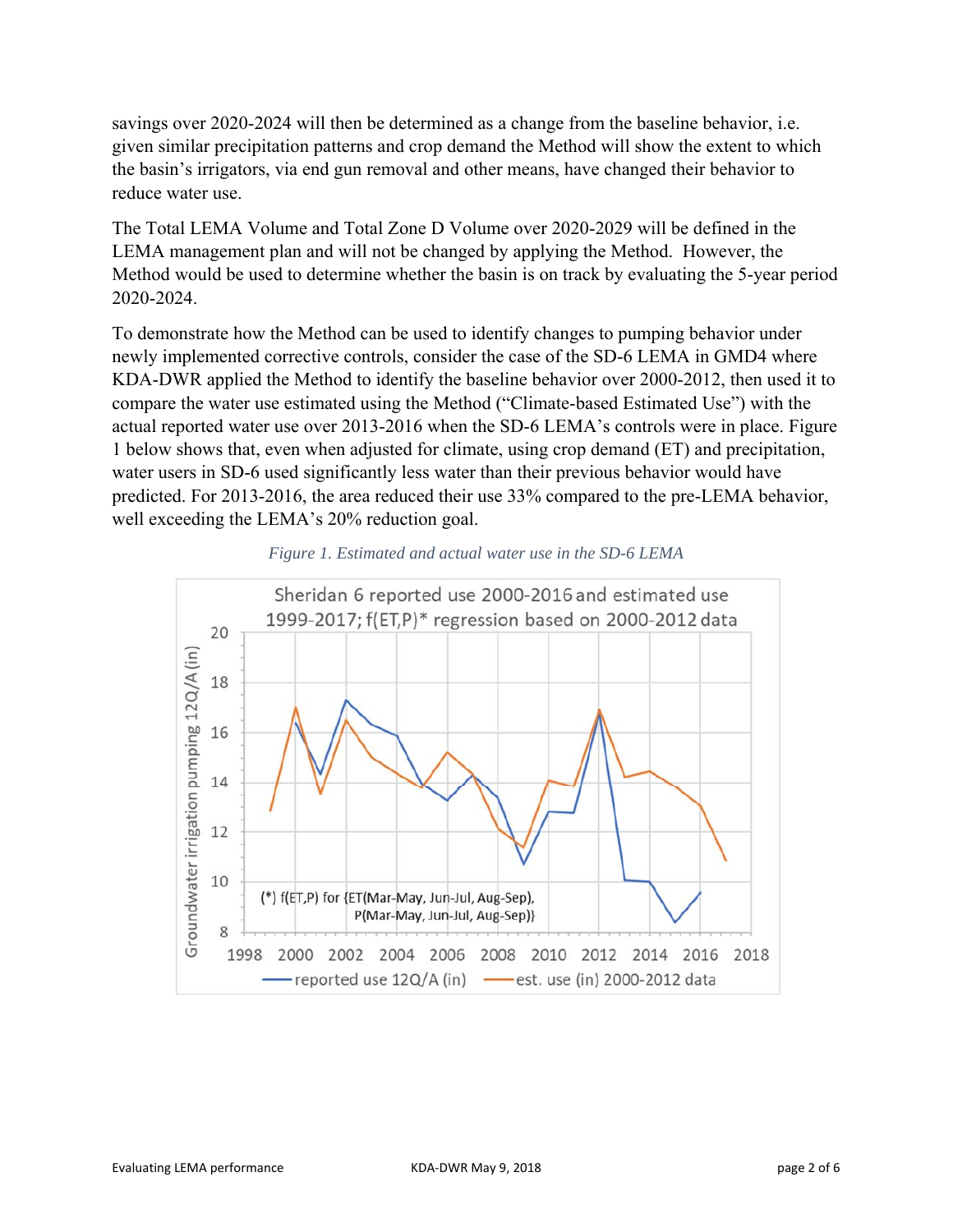savings over 2020-2024 will then be determined as a change from the baseline behavior, i.e. given similar precipitation patterns and crop demand the Method will show the extent to which the basin's irrigators, via end gun removal and other means, have changed their behavior to reduce water use.

The Total LEMA Volume and Total Zone D Volume over 2020-2029 will be defined in the LEMA management plan and will not be changed by applying the Method. However, the Method would be used to determine whether the basin is on track by evaluating the 5-year period 2020-2024.

To demonstrate how the Method can be used to identify changes to pumping behavior under newly implemented corrective controls, consider the case of the SD-6 LEMA in GMD4 where KDA-DWR applied the Method to identify the baseline behavior over 2000-2012, then used it to compare the water use estimated using the Method ("Climate-based Estimated Use") with the actual reported water use over 2013-2016 when the SD-6 LEMA's controls were in place. Figure 1 below shows that, even when adjusted for climate, using crop demand (ET) and precipitation, water users in SD-6 used significantly less water than their previous behavior would have predicted. For 2013-2016, the area reduced their use 33% compared to the pre-LEMA behavior, well exceeding the LEMA's 20% reduction goal.



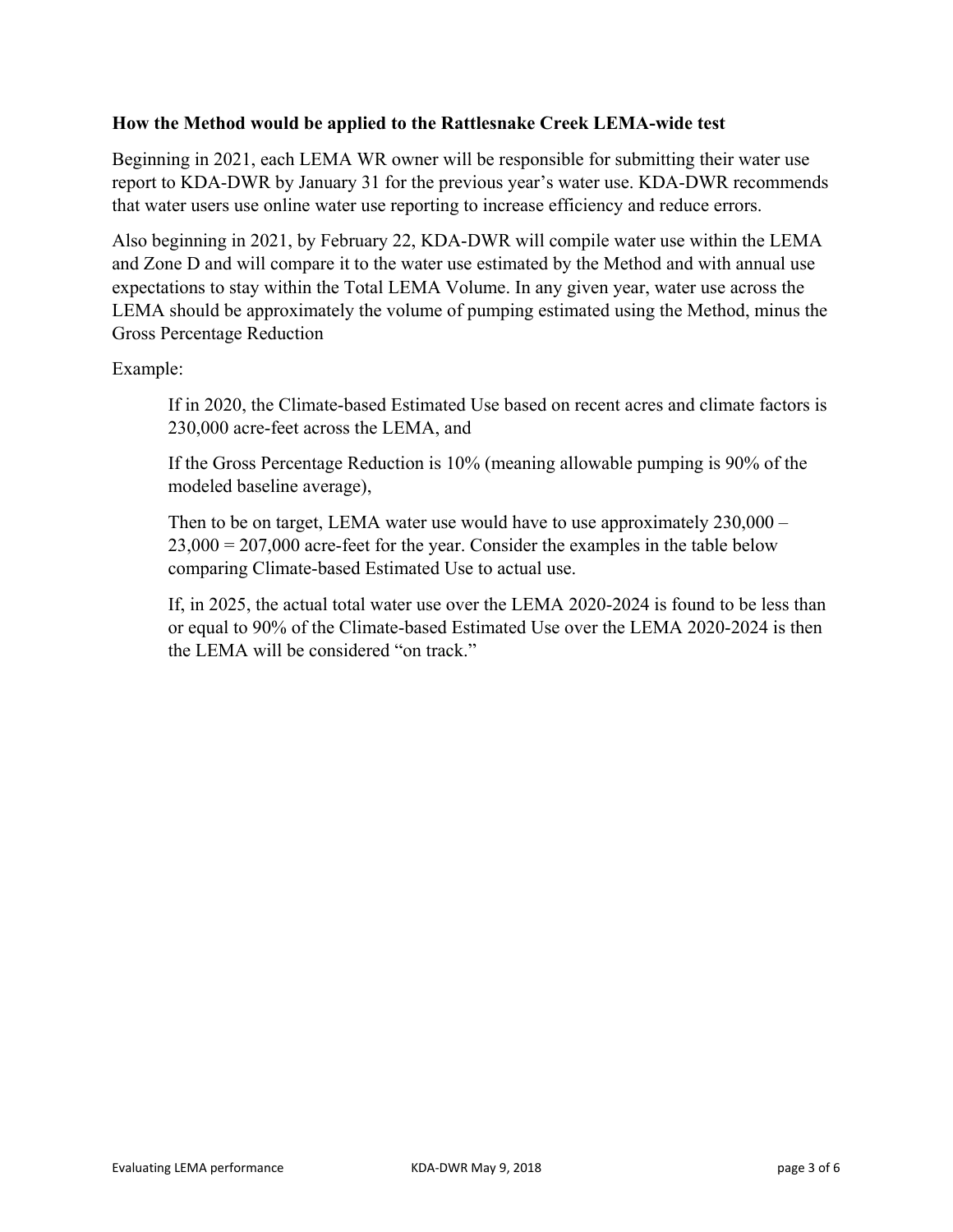### **How the Method would be applied to the Rattlesnake Creek LEMA-wide test**

Beginning in 2021, each LEMA WR owner will be responsible for submitting their water use report to KDA-DWR by January 31 for the previous year's water use. KDA-DWR recommends that water users use online water use reporting to increase efficiency and reduce errors.

Also beginning in 2021, by February 22, KDA-DWR will compile water use within the LEMA and Zone D and will compare it to the water use estimated by the Method and with annual use expectations to stay within the Total LEMA Volume. In any given year, water use across the LEMA should be approximately the volume of pumping estimated using the Method, minus the Gross Percentage Reduction

Example:

If in 2020, the Climate-based Estimated Use based on recent acres and climate factors is 230,000 acre-feet across the LEMA, and

If the Gross Percentage Reduction is 10% (meaning allowable pumping is 90% of the modeled baseline average),

Then to be on target, LEMA water use would have to use approximately 230,000 –  $23,000 = 207,000$  acre-feet for the year. Consider the examples in the table below comparing Climate-based Estimated Use to actual use.

If, in 2025, the actual total water use over the LEMA 2020-2024 is found to be less than or equal to 90% of the Climate-based Estimated Use over the LEMA 2020-2024 is then the LEMA will be considered "on track."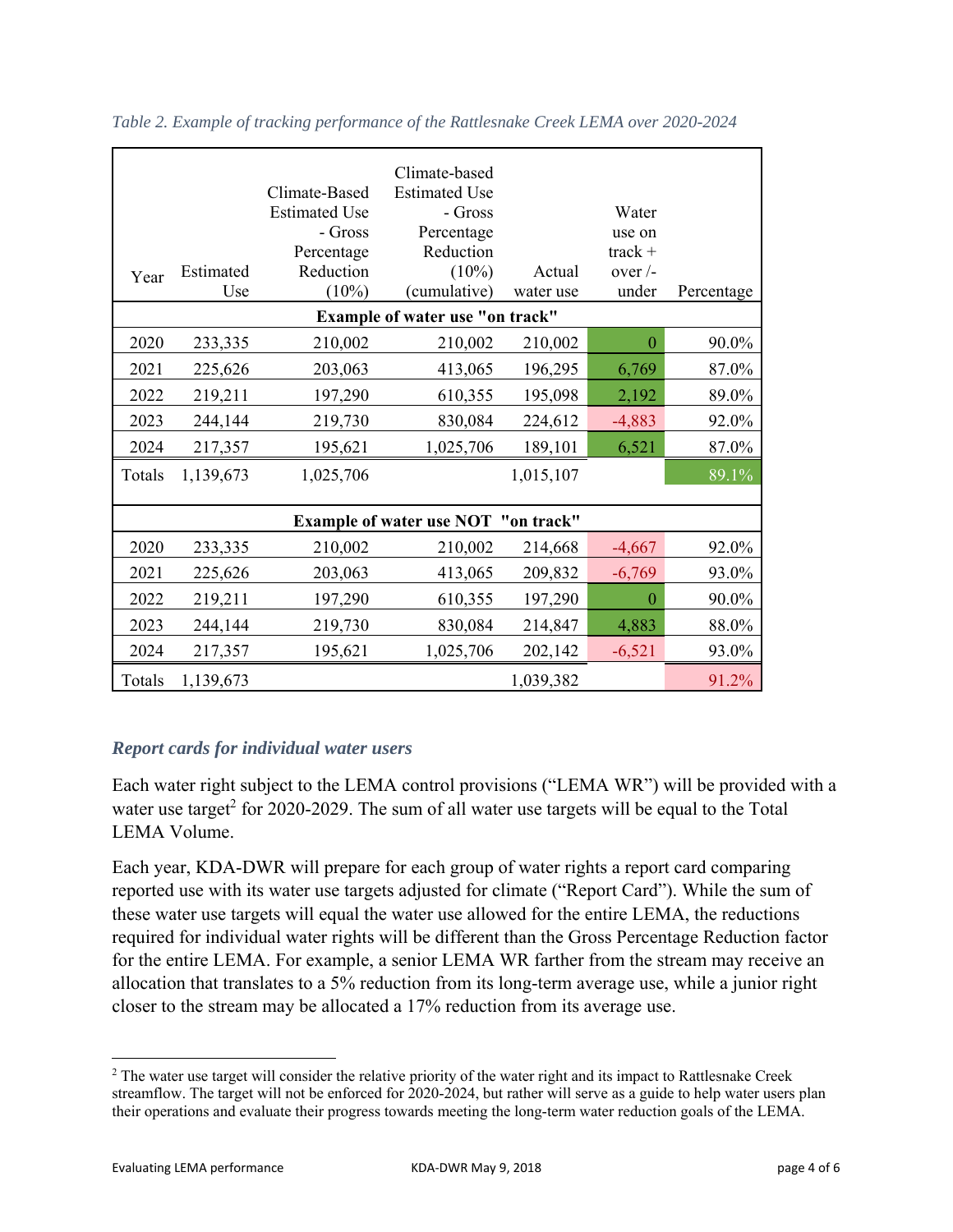| Year   | Estimated<br>Use | Climate-Based<br><b>Estimated Use</b><br>- Gross<br>Percentage<br>Reduction<br>(10%) | Climate-based<br><b>Estimated Use</b><br>- Gross<br>Percentage<br>Reduction<br>$(10\%)$<br>(cumulative) | Actual<br>water use | Water<br>use on<br>$track +$<br>over $\overline{\phantom{a}}$<br>under | Percentage |
|--------|------------------|--------------------------------------------------------------------------------------|---------------------------------------------------------------------------------------------------------|---------------------|------------------------------------------------------------------------|------------|
|        |                  |                                                                                      | Example of water use "on track"                                                                         |                     |                                                                        |            |
| 2020   | 233,335          | 210,002                                                                              | 210,002                                                                                                 | 210,002             | $\theta$                                                               | 90.0%      |
| 2021   | 225,626          | 203,063                                                                              | 413,065                                                                                                 | 196,295             | 6,769                                                                  | 87.0%      |
| 2022   | 219,211          | 197,290                                                                              | 610,355                                                                                                 | 195,098             | 2,192                                                                  | 89.0%      |
| 2023   | 244,144          | 219,730                                                                              | 830,084                                                                                                 | 224,612             | $-4,883$                                                               | 92.0%      |
| 2024   | 217,357          | 195,621                                                                              | 1,025,706                                                                                               | 189,101             | 6,521                                                                  | 87.0%      |
| Totals | 1,139,673        | 1,025,706                                                                            |                                                                                                         | 1,015,107           |                                                                        | 89.1%      |
|        |                  |                                                                                      |                                                                                                         |                     |                                                                        |            |
|        |                  |                                                                                      | <b>Example of water use NOT "on track"</b>                                                              |                     |                                                                        |            |
| 2020   | 233,335          | 210,002                                                                              | 210,002                                                                                                 | 214,668             | $-4,667$                                                               | 92.0%      |
| 2021   | 225,626          | 203,063                                                                              | 413,065                                                                                                 | 209,832             | $-6,769$                                                               | 93.0%      |
| 2022   | 219,211          | 197,290                                                                              | 610,355                                                                                                 | 197,290             | $\overline{0}$                                                         | 90.0%      |
| 2023   | 244,144          | 219,730                                                                              | 830,084                                                                                                 | 214,847             | 4,883                                                                  | 88.0%      |
| 2024   | 217,357          | 195,621                                                                              | 1,025,706                                                                                               | 202,142             | $-6,521$                                                               | 93.0%      |
| Totals | 1,139,673        |                                                                                      |                                                                                                         | 1,039,382           |                                                                        | 91.2%      |

*Table 2. Example of tracking performance of the Rattlesnake Creek LEMA over 2020-2024*

### *Report cards for individual water users*

Each water right subject to the LEMA control provisions ("LEMA WR") will be provided with a water use target<sup>2</sup> for 2020-2029. The sum of all water use targets will be equal to the Total LEMA Volume.

Each year, KDA-DWR will prepare for each group of water rights a report card comparing reported use with its water use targets adjusted for climate ("Report Card"). While the sum of these water use targets will equal the water use allowed for the entire LEMA, the reductions required for individual water rights will be different than the Gross Percentage Reduction factor for the entire LEMA. For example, a senior LEMA WR farther from the stream may receive an allocation that translates to a 5% reduction from its long-term average use, while a junior right closer to the stream may be allocated a 17% reduction from its average use.

 <sup>2</sup> The water use target will consider the relative priority of the water right and its impact to Rattlesnake Creek streamflow. The target will not be enforced for 2020-2024, but rather will serve as a guide to help water users plan their operations and evaluate their progress towards meeting the long-term water reduction goals of the LEMA.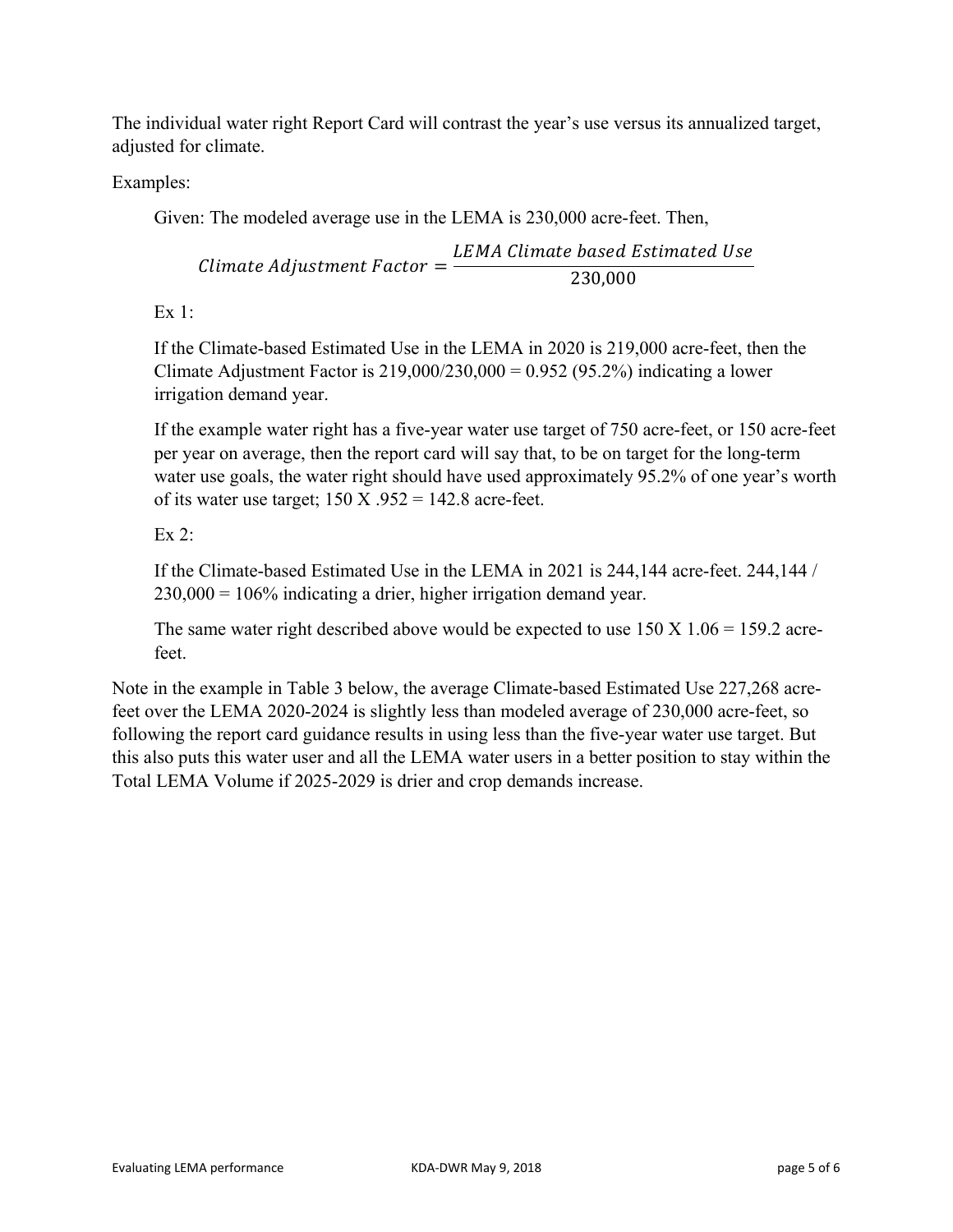The individual water right Report Card will contrast the year's use versus its annualized target, adjusted for climate.

Examples:

Given: The modeled average use in the LEMA is 230,000 acre-feet. Then,

Climate Adjustment Factor = LEMA Climate based Estimated Use 230,000

Ex 1:

If the Climate-based Estimated Use in the LEMA in 2020 is 219,000 acre-feet, then the Climate Adjustment Factor is  $219,000/230,000 = 0.952$  (95.2%) indicating a lower irrigation demand year.

If the example water right has a five-year water use target of 750 acre-feet, or 150 acre-feet per year on average, then the report card will say that, to be on target for the long-term water use goals, the water right should have used approximately 95.2% of one year's worth of its water use target;  $150 X .952 = 142.8$  acre-feet.

## Ex  $2$ :

If the Climate-based Estimated Use in the LEMA in 2021 is 244,144 acre-feet. 244,144 /  $230,000 = 106\%$  indicating a drier, higher irrigation demand year.

The same water right described above would be expected to use  $150 \text{ X}$  1.06 = 159.2 acrefeet.

Note in the example in Table 3 below, the average Climate-based Estimated Use 227,268 acrefeet over the LEMA 2020-2024 is slightly less than modeled average of 230,000 acre-feet, so following the report card guidance results in using less than the five-year water use target. But this also puts this water user and all the LEMA water users in a better position to stay within the Total LEMA Volume if 2025-2029 is drier and crop demands increase.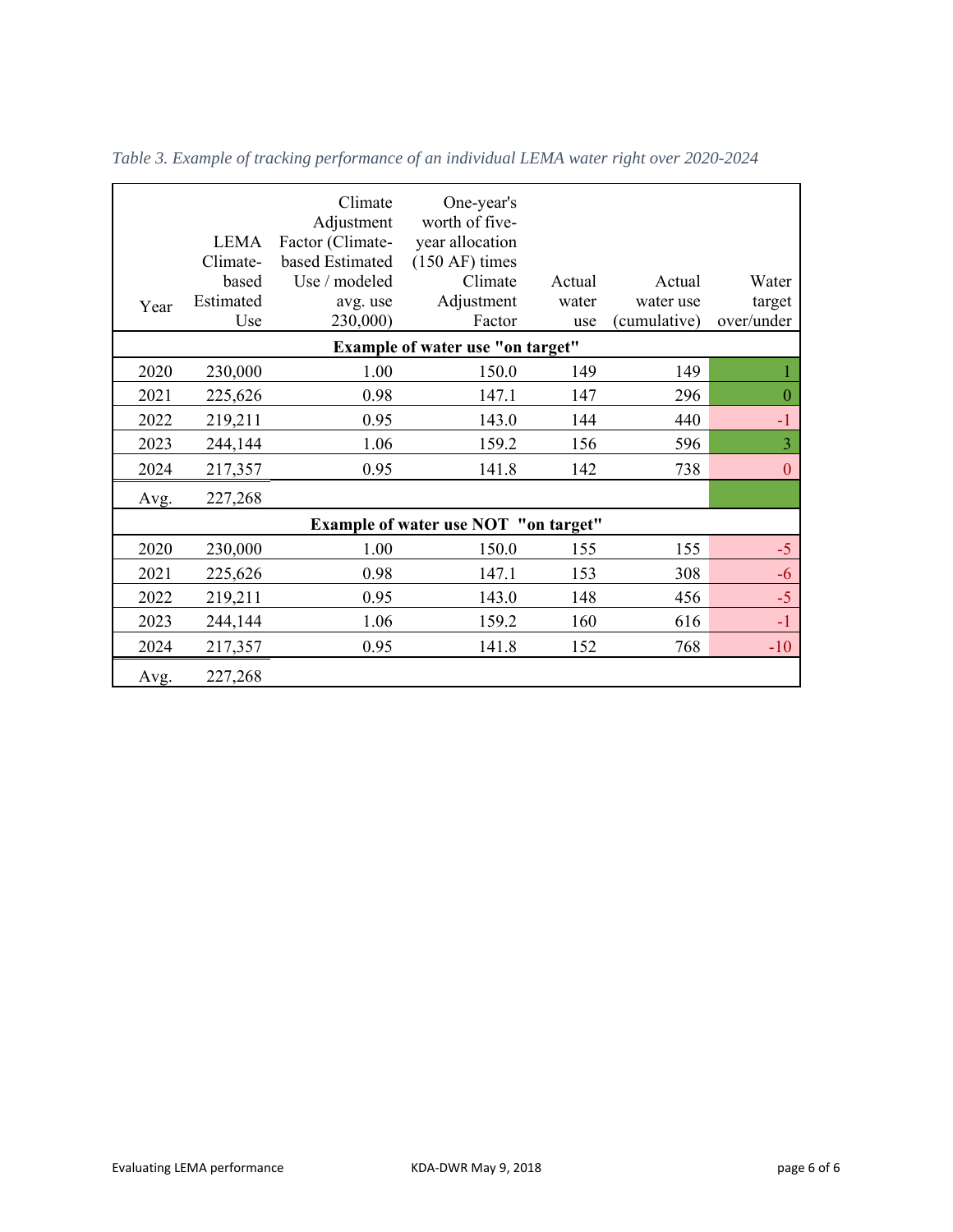| Year | LEMA<br>Climate-<br>based<br>Estimated<br>Use | Climate<br>Adjustment<br>Factor (Climate-<br>based Estimated<br>Use / modeled<br>avg. use<br>230,000) | One-year's<br>worth of five-<br>year allocation<br>$(150 AF)$ times<br>Climate<br>Adjustment<br>Factor | Actual<br>water<br>use | Actual<br>water use<br>(cumulative) | Water<br>target<br>over/under |
|------|-----------------------------------------------|-------------------------------------------------------------------------------------------------------|--------------------------------------------------------------------------------------------------------|------------------------|-------------------------------------|-------------------------------|
|      |                                               |                                                                                                       | Example of water use "on target"                                                                       |                        |                                     |                               |
| 2020 | 230,000                                       | 1.00                                                                                                  | 150.0                                                                                                  | 149                    | 149                                 |                               |
| 2021 | 225,626                                       | 0.98                                                                                                  | 147.1                                                                                                  | 147                    | 296                                 | $\mathbf{0}$                  |
| 2022 | 219,211                                       | 0.95                                                                                                  | 143.0                                                                                                  | 144                    | 440                                 | $-1$                          |
| 2023 | 244,144                                       | 1.06                                                                                                  | 159.2                                                                                                  | 156                    | 596                                 | $\overline{3}$                |
| 2024 | 217,357                                       | 0.95                                                                                                  | 141.8                                                                                                  | 142                    | 738                                 | $\boldsymbol{0}$              |
| Avg. | 227,268                                       |                                                                                                       |                                                                                                        |                        |                                     |                               |
|      |                                               |                                                                                                       | <b>Example of water use NOT "on target"</b>                                                            |                        |                                     |                               |
| 2020 | 230,000                                       | 1.00                                                                                                  | 150.0                                                                                                  | 155                    | 155                                 | $-5$                          |
| 2021 | 225,626                                       | 0.98                                                                                                  | 147.1                                                                                                  | 153                    | 308                                 | $-6$                          |
| 2022 | 219,211                                       | 0.95                                                                                                  | 143.0                                                                                                  | 148                    | 456                                 | $-5$                          |
| 2023 | 244,144                                       | 1.06                                                                                                  | 159.2                                                                                                  | 160                    | 616                                 | $-1$                          |
| 2024 | 217,357                                       | 0.95                                                                                                  | 141.8                                                                                                  | 152                    | 768                                 | $-10$                         |
| Avg. | 227,268                                       |                                                                                                       |                                                                                                        |                        |                                     |                               |

*Table 3. Example of tracking performance of an individual LEMA water right over 2020-2024*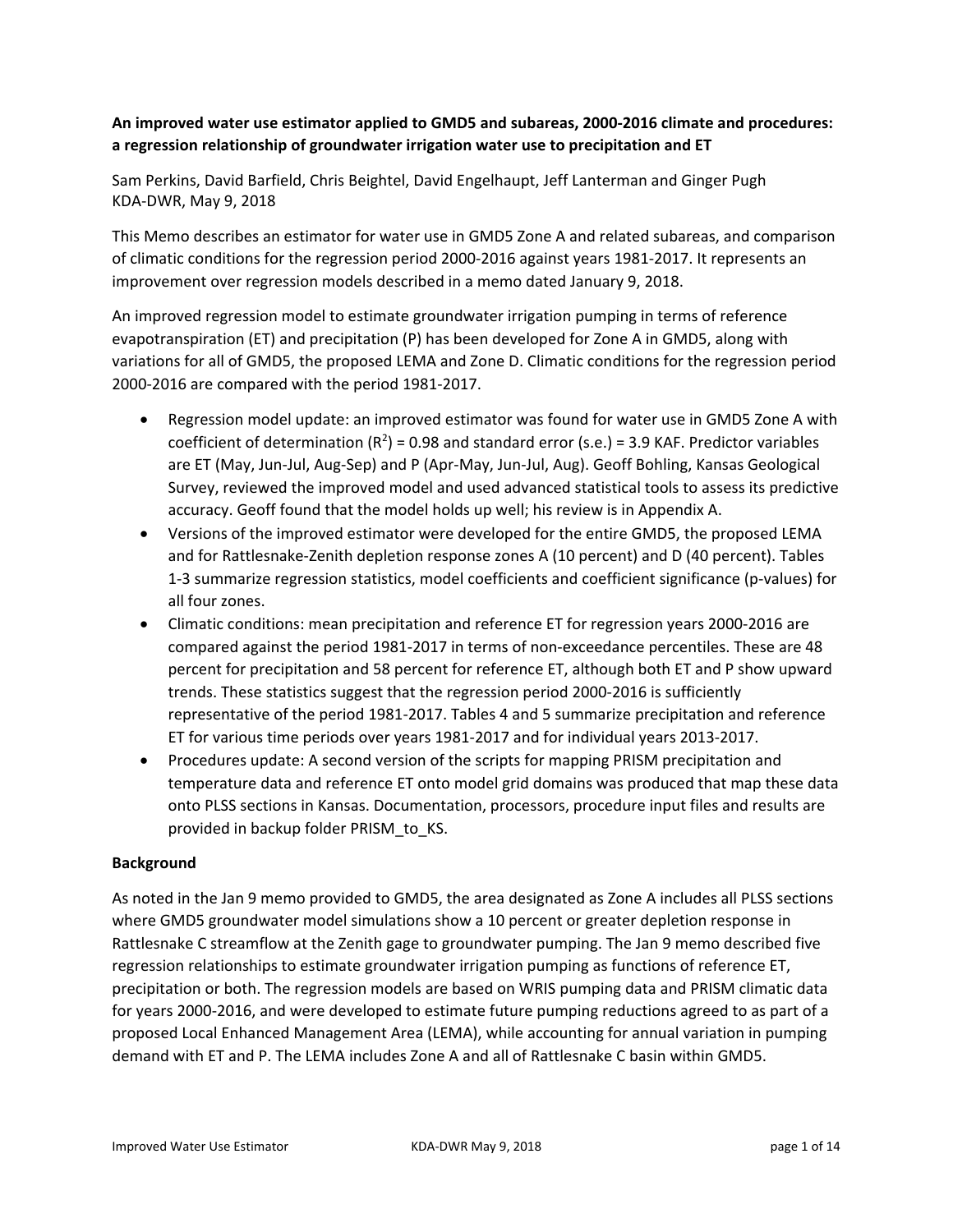### **An improved water use estimator applied to GMD5 and subareas, 2000‐2016 climate and procedures: a regression relationship of groundwater irrigation water use to precipitation and ET**

Sam Perkins, David Barfield, Chris Beightel, David Engelhaupt, Jeff Lanterman and Ginger Pugh KDA‐DWR, May 9, 2018

This Memo describes an estimator for water use in GMD5 Zone A and related subareas, and comparison of climatic conditions for the regression period 2000‐2016 against years 1981‐2017. It represents an improvement over regression models described in a memo dated January 9, 2018.

An improved regression model to estimate groundwater irrigation pumping in terms of reference evapotranspiration (ET) and precipitation (P) has been developed for Zone A in GMD5, along with variations for all of GMD5, the proposed LEMA and Zone D. Climatic conditions for the regression period 2000‐2016 are compared with the period 1981‐2017.

- Regression model update: an improved estimator was found for water use in GMD5 Zone A with coefficient of determination  $(R^2)$  = 0.98 and standard error (s.e.) = 3.9 KAF. Predictor variables are ET (May, Jun‐Jul, Aug‐Sep) and P (Apr‐May, Jun‐Jul, Aug). Geoff Bohling, Kansas Geological Survey, reviewed the improved model and used advanced statistical tools to assess its predictive accuracy. Geoff found that the model holds up well; his review is in Appendix A.
- Versions of the improved estimator were developed for the entire GMD5, the proposed LEMA and for Rattlesnake‐Zenith depletion response zones A (10 percent) and D (40 percent). Tables 1‐3 summarize regression statistics, model coefficients and coefficient significance (p‐values) for all four zones.
- Climatic conditions: mean precipitation and reference ET for regression years 2000‐2016 are compared against the period 1981‐2017 in terms of non‐exceedance percentiles. These are 48 percent for precipitation and 58 percent for reference ET, although both ET and P show upward trends. These statistics suggest that the regression period 2000‐2016 is sufficiently representative of the period 1981‐2017. Tables 4 and 5 summarize precipitation and reference ET for various time periods over years 1981‐2017 and for individual years 2013‐2017.
- Procedures update: A second version of the scripts for mapping PRISM precipitation and temperature data and reference ET onto model grid domains was produced that map these data onto PLSS sections in Kansas. Documentation, processors, procedure input files and results are provided in backup folder PRISM\_to\_KS.

#### **Background**

As noted in the Jan 9 memo provided to GMD5, the area designated as Zone A includes all PLSS sections where GMD5 groundwater model simulations show a 10 percent or greater depletion response in Rattlesnake C streamflow at the Zenith gage to groundwater pumping. The Jan 9 memo described five regression relationships to estimate groundwater irrigation pumping as functions of reference ET, precipitation or both. The regression models are based on WRIS pumping data and PRISM climatic data for years 2000-2016, and were developed to estimate future pumping reductions agreed to as part of a proposed Local Enhanced Management Area (LEMA), while accounting for annual variation in pumping demand with ET and P. The LEMA includes Zone A and all of Rattlesnake C basin within GMD5.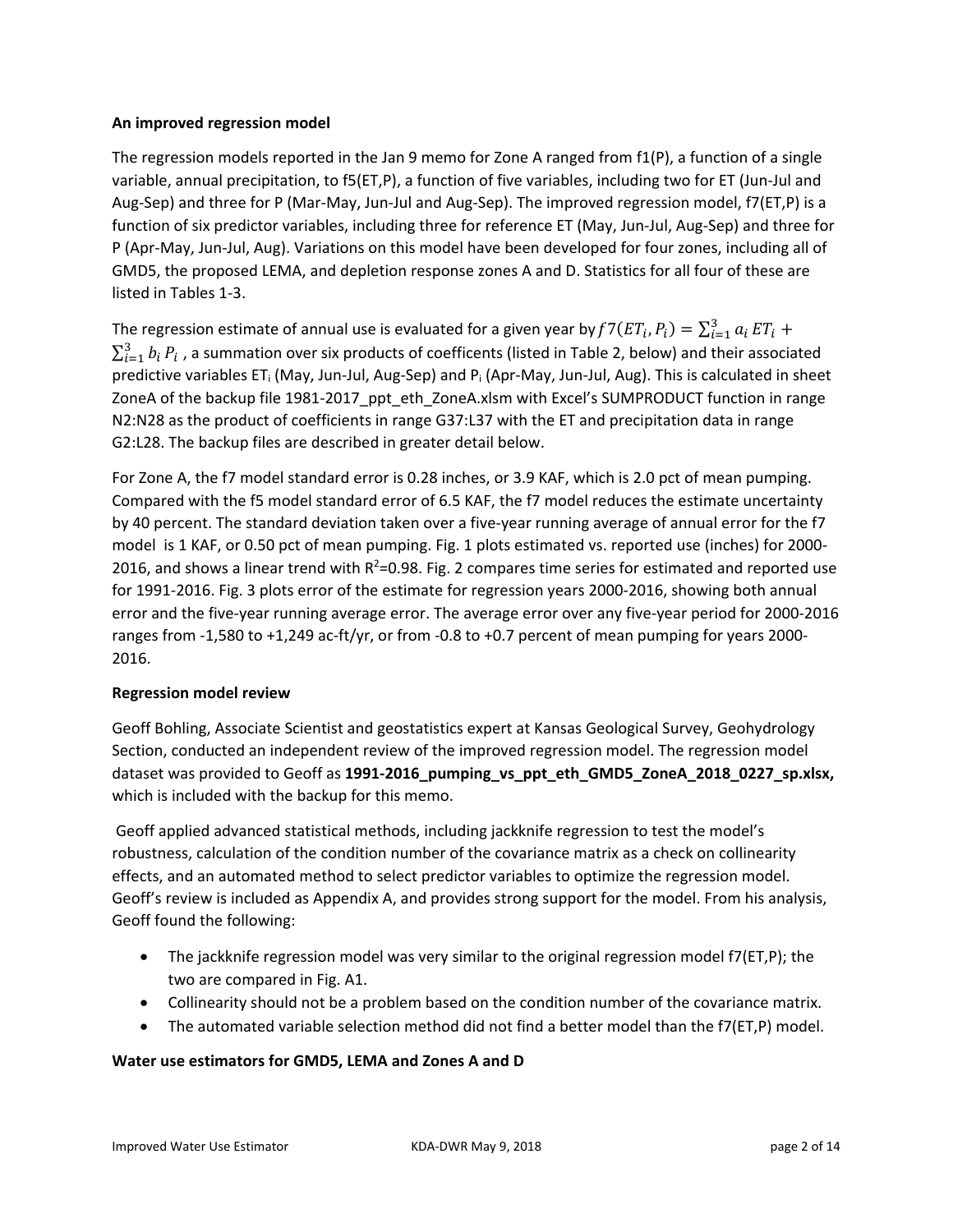#### **An improved regression model**

The regression models reported in the Jan 9 memo for Zone A ranged from f1(P), a function of a single variable, annual precipitation, to f5(ET,P), a function of five variables, including two for ET (Jun‐Jul and Aug‐Sep) and three for P (Mar‐May, Jun‐Jul and Aug‐Sep). The improved regression model, f7(ET,P) is a function of six predictor variables, including three for reference ET (May, Jun‐Jul, Aug‐Sep) and three for P (Apr‐May, Jun‐Jul, Aug). Variations on this model have been developed for four zones, including all of GMD5, the proposed LEMA, and depletion response zones A and D. Statistics for all four of these are listed in Tables 1‐3.

The regression estimate of annual use is evaluated for a given year by  $f7(ET_i, P_i) = \sum_{i=1}^3 a_i ET_i +$  $\sum_{i=1}^3 b_i\,P_i$  , a summation over six products of coefficents (listed in Table 2, below) and their associated predictive variables ET<sub>i</sub> (May, Jun-Jul, Aug-Sep) and P<sub>i</sub> (Apr-May, Jun-Jul, Aug). This is calculated in sheet ZoneA of the backup file 1981-2017 ppt eth ZoneA.xlsm with Excel's SUMPRODUCT function in range N2:N28 as the product of coefficients in range G37:L37 with the ET and precipitation data in range G2:L28. The backup files are described in greater detail below.

For Zone A, the f7 model standard error is 0.28 inches, or 3.9 KAF, which is 2.0 pct of mean pumping. Compared with the f5 model standard error of 6.5 KAF, the f7 model reduces the estimate uncertainty by 40 percent. The standard deviation taken over a five‐year running average of annual error for the f7 model is 1 KAF, or 0.50 pct of mean pumping. Fig. 1 plots estimated vs. reported use (inches) for 2000‐ 2016, and shows a linear trend with  $R^2$ =0.98. Fig. 2 compares time series for estimated and reported use for 1991‐2016. Fig. 3 plots error of the estimate for regression years 2000‐2016, showing both annual error and the five‐year running average error. The average error over any five‐year period for 2000‐2016 ranges from ‐1,580 to +1,249 ac‐ft/yr, or from ‐0.8 to +0.7 percent of mean pumping for years 2000‐ 2016.

#### **Regression model review**

Geoff Bohling, Associate Scientist and geostatistics expert at Kansas Geological Survey, Geohydrology Section, conducted an independent review of the improved regression model. The regression model dataset was provided to Geoff as **1991‐2016\_pumping\_vs\_ppt\_eth\_GMD5\_ZoneA\_2018\_0227\_sp.xlsx,** which is included with the backup for this memo.

 Geoff applied advanced statistical methods, including jackknife regression to test the model's robustness, calculation of the condition number of the covariance matrix as a check on collinearity effects, and an automated method to select predictor variables to optimize the regression model. Geoff's review is included as Appendix A, and provides strong support for the model. From his analysis, Geoff found the following:

- The jackknife regression model was very similar to the original regression model f7(ET,P); the two are compared in Fig. A1.
- Collinearity should not be a problem based on the condition number of the covariance matrix.
- The automated variable selection method did not find a better model than the f7(ET,P) model.

#### **Water use estimators for GMD5, LEMA and Zones A and D**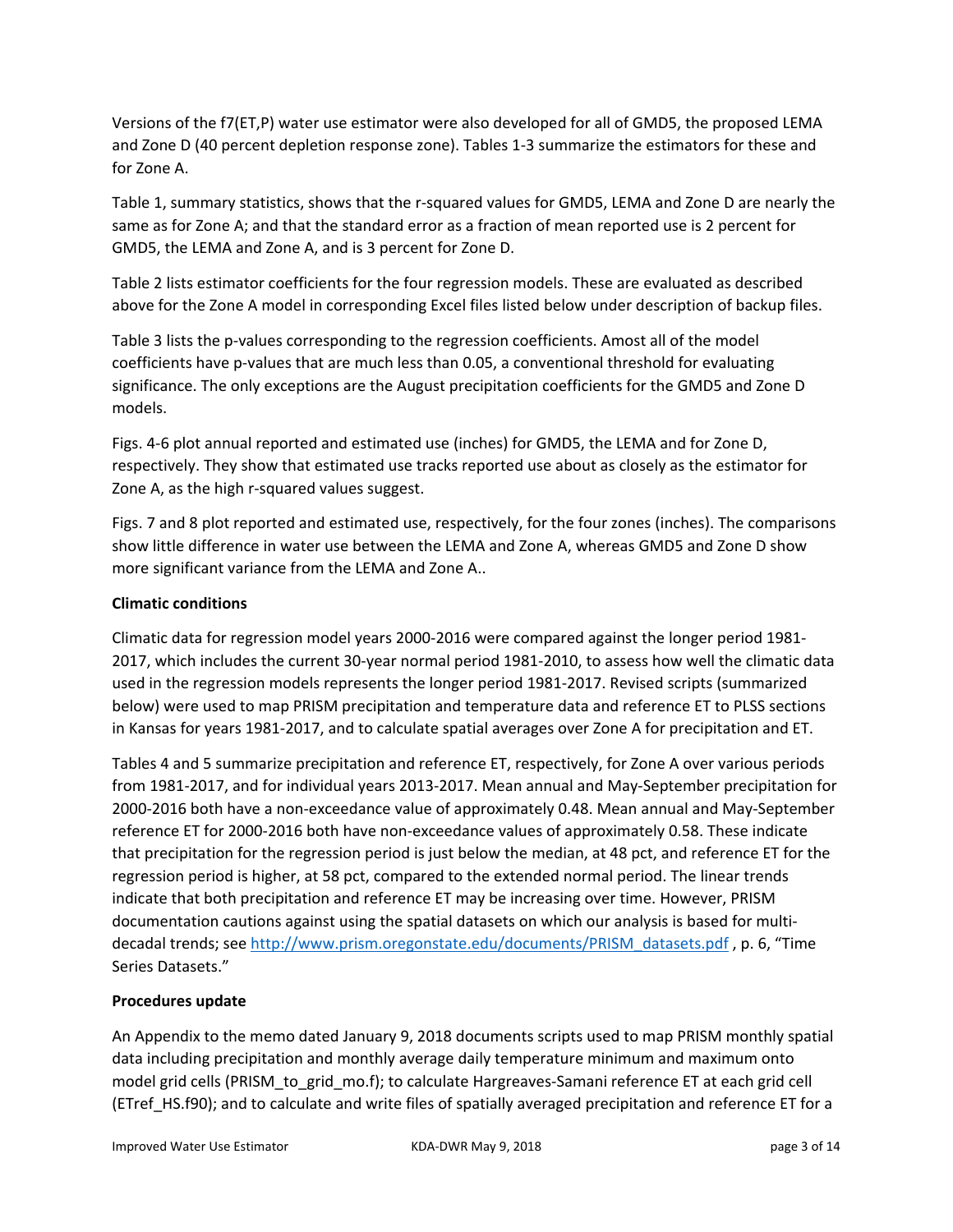Versions of the f7(ET,P) water use estimator were also developed for all of GMD5, the proposed LEMA and Zone D (40 percent depletion response zone). Tables 1‐3 summarize the estimators for these and for Zone A.

Table 1, summary statistics, shows that the r-squared values for GMD5, LEMA and Zone D are nearly the same as for Zone A; and that the standard error as a fraction of mean reported use is 2 percent for GMD5, the LEMA and Zone A, and is 3 percent for Zone D.

Table 2 lists estimator coefficients for the four regression models. These are evaluated as described above for the Zone A model in corresponding Excel files listed below under description of backup files.

Table 3 lists the p-values corresponding to the regression coefficients. Amost all of the model coefficients have p-values that are much less than 0.05, a conventional threshold for evaluating significance. The only exceptions are the August precipitation coefficients for the GMD5 and Zone D models.

Figs. 4‐6 plot annual reported and estimated use (inches) for GMD5, the LEMA and for Zone D, respectively. They show that estimated use tracks reported use about as closely as the estimator for Zone A, as the high r‐squared values suggest.

Figs. 7 and 8 plot reported and estimated use, respectively, for the four zones (inches). The comparisons show little difference in water use between the LEMA and Zone A, whereas GMD5 and Zone D show more significant variance from the LEMA and Zone A..

### **Climatic conditions**

Climatic data for regression model years 2000‐2016 were compared against the longer period 1981‐ 2017, which includes the current 30‐year normal period 1981‐2010, to assess how well the climatic data used in the regression models represents the longer period 1981‐2017. Revised scripts (summarized below) were used to map PRISM precipitation and temperature data and reference ET to PLSS sections in Kansas for years 1981‐2017, and to calculate spatial averages over Zone A for precipitation and ET.

Tables 4 and 5 summarize precipitation and reference ET, respectively, for Zone A over various periods from 1981‐2017, and for individual years 2013‐2017. Mean annual and May‐September precipitation for 2000‐2016 both have a non‐exceedance value of approximately 0.48. Mean annual and May‐September reference ET for 2000‐2016 both have non‐exceedance values of approximately 0.58. These indicate that precipitation for the regression period is just below the median, at 48 pct, and reference ET for the regression period is higher, at 58 pct, compared to the extended normal period. The linear trends indicate that both precipitation and reference ET may be increasing over time. However, PRISM documentation cautions against using the spatial datasets on which our analysis is based for multi‐ decadal trends; see http://www.prism.oregonstate.edu/documents/PRISM\_datasets.pdf , p. 6, "Time Series Datasets."

#### **Procedures update**

An Appendix to the memo dated January 9, 2018 documents scripts used to map PRISM monthly spatial data including precipitation and monthly average daily temperature minimum and maximum onto model grid cells (PRISM\_to\_grid\_mo.f); to calculate Hargreaves‐Samani reference ET at each grid cell (ETref\_HS.f90); and to calculate and write files of spatially averaged precipitation and reference ET for a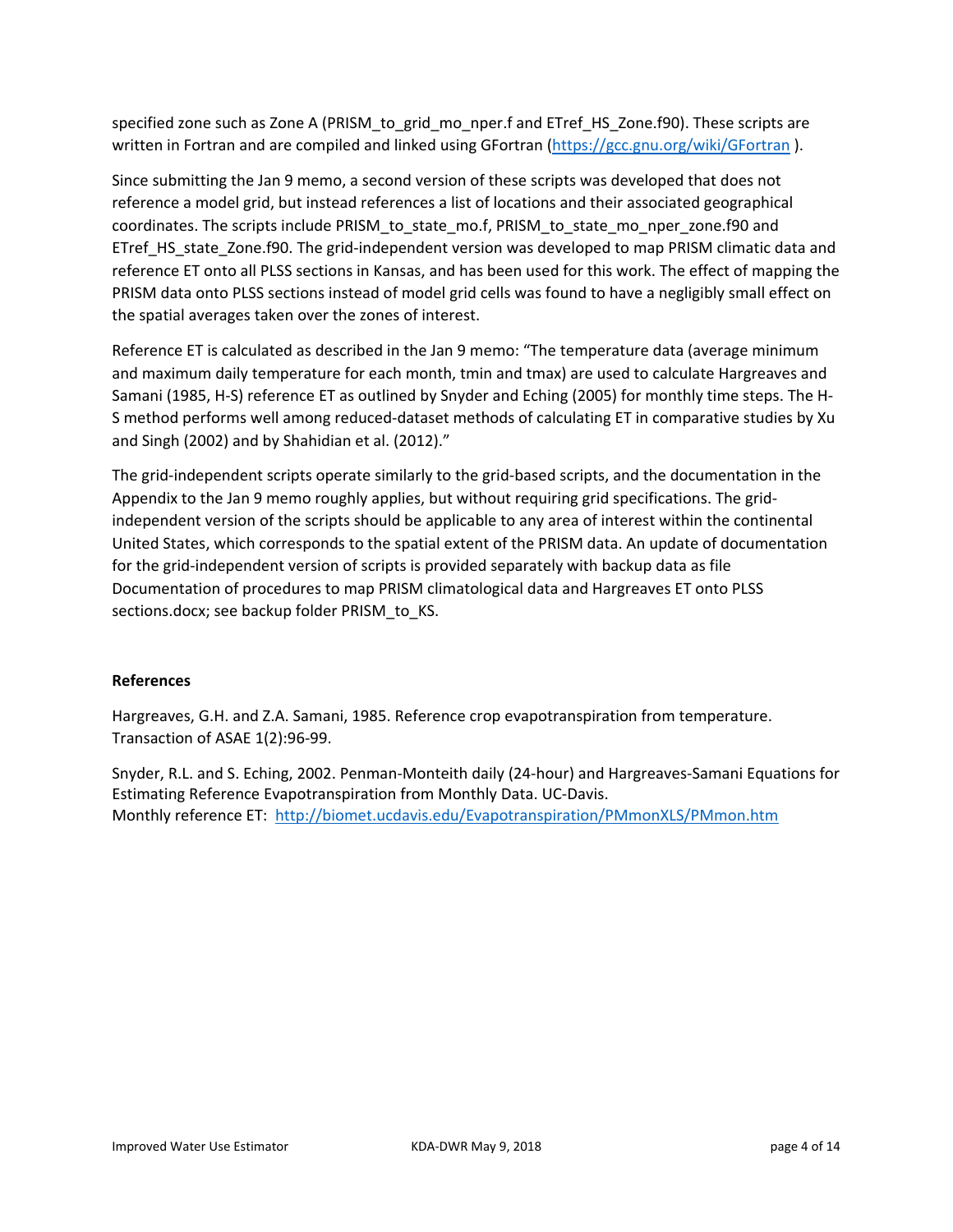specified zone such as Zone A (PRISM to grid mo nper.f and ETref HS Zone.f90). These scripts are written in Fortran and are compiled and linked using GFortran (https://gcc.gnu.org/wiki/GFortran).

Since submitting the Jan 9 memo, a second version of these scripts was developed that does not reference a model grid, but instead references a list of locations and their associated geographical coordinates. The scripts include PRISM\_to\_state\_mo.f, PRISM\_to\_state\_mo\_nper\_zone.f90 and ETref HS state Zone.f90. The grid-independent version was developed to map PRISM climatic data and reference ET onto all PLSS sections in Kansas, and has been used for this work. The effect of mapping the PRISM data onto PLSS sections instead of model grid cells was found to have a negligibly small effect on the spatial averages taken over the zones of interest.

Reference ET is calculated as described in the Jan 9 memo: "The temperature data (average minimum and maximum daily temperature for each month, tmin and tmax) are used to calculate Hargreaves and Samani (1985, H‐S) reference ET as outlined by Snyder and Eching (2005) for monthly time steps. The H‐ S method performs well among reduced‐dataset methods of calculating ET in comparative studies by Xu and Singh (2002) and by Shahidian et al. (2012)."

The grid-independent scripts operate similarly to the grid-based scripts, and the documentation in the Appendix to the Jan 9 memo roughly applies, but without requiring grid specifications. The grid‐ independent version of the scripts should be applicable to any area of interest within the continental United States, which corresponds to the spatial extent of the PRISM data. An update of documentation for the grid-independent version of scripts is provided separately with backup data as file Documentation of procedures to map PRISM climatological data and Hargreaves ET onto PLSS sections.docx; see backup folder PRISM to KS.

#### **References**

Hargreaves, G.H. and Z.A. Samani, 1985. Reference crop evapotranspiration from temperature. Transaction of ASAE 1(2):96‐99.

Snyder, R.L. and S. Eching, 2002. Penman‐Monteith daily (24‐hour) and Hargreaves‐Samani Equations for Estimating Reference Evapotranspiration from Monthly Data. UC‐Davis. Monthly reference ET: http://biomet.ucdavis.edu/Evapotranspiration/PMmonXLS/PMmon.htm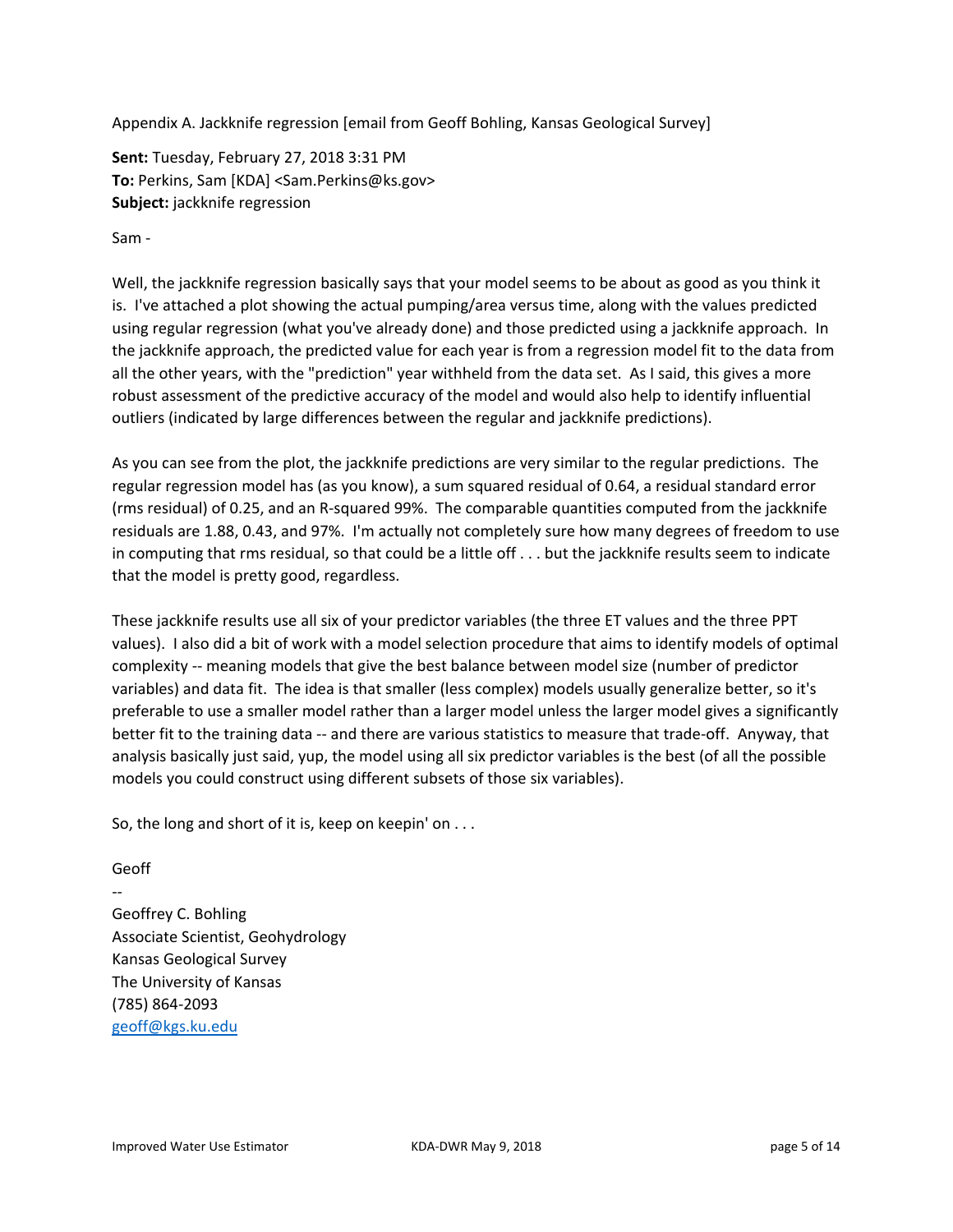Appendix A. Jackknife regression [email from Geoff Bohling, Kansas Geological Survey]

**Sent:** Tuesday, February 27, 2018 3:31 PM **To:** Perkins, Sam [KDA] <Sam.Perkins@ks.gov> **Subject:** jackknife regression

Sam ‐

Well, the jackknife regression basically says that your model seems to be about as good as you think it is. I've attached a plot showing the actual pumping/area versus time, along with the values predicted using regular regression (what you've already done) and those predicted using a jackknife approach. In the jackknife approach, the predicted value for each year is from a regression model fit to the data from all the other years, with the "prediction" year withheld from the data set. As I said, this gives a more robust assessment of the predictive accuracy of the model and would also help to identify influential outliers (indicated by large differences between the regular and jackknife predictions).

As you can see from the plot, the jackknife predictions are very similar to the regular predictions. The regular regression model has (as you know), a sum squared residual of 0.64, a residual standard error (rms residual) of 0.25, and an R‐squared 99%. The comparable quantities computed from the jackknife residuals are 1.88, 0.43, and 97%. I'm actually not completely sure how many degrees of freedom to use in computing that rms residual, so that could be a little off . . . but the jackknife results seem to indicate that the model is pretty good, regardless.

These jackknife results use all six of your predictor variables (the three ET values and the three PPT values). I also did a bit of work with a model selection procedure that aims to identify models of optimal complexity ‐‐ meaning models that give the best balance between model size (number of predictor variables) and data fit. The idea is that smaller (less complex) models usually generalize better, so it's preferable to use a smaller model rather than a larger model unless the larger model gives a significantly better fit to the training data ‐‐ and there are various statistics to measure that trade‐off. Anyway, that analysis basically just said, yup, the model using all six predictor variables is the best (of all the possible models you could construct using different subsets of those six variables).

So, the long and short of it is, keep on keepin' on . . .

Geoff

‐‐ Geoffrey C. Bohling Associate Scientist, Geohydrology Kansas Geological Survey The University of Kansas (785) 864‐2093 geoff@kgs.ku.edu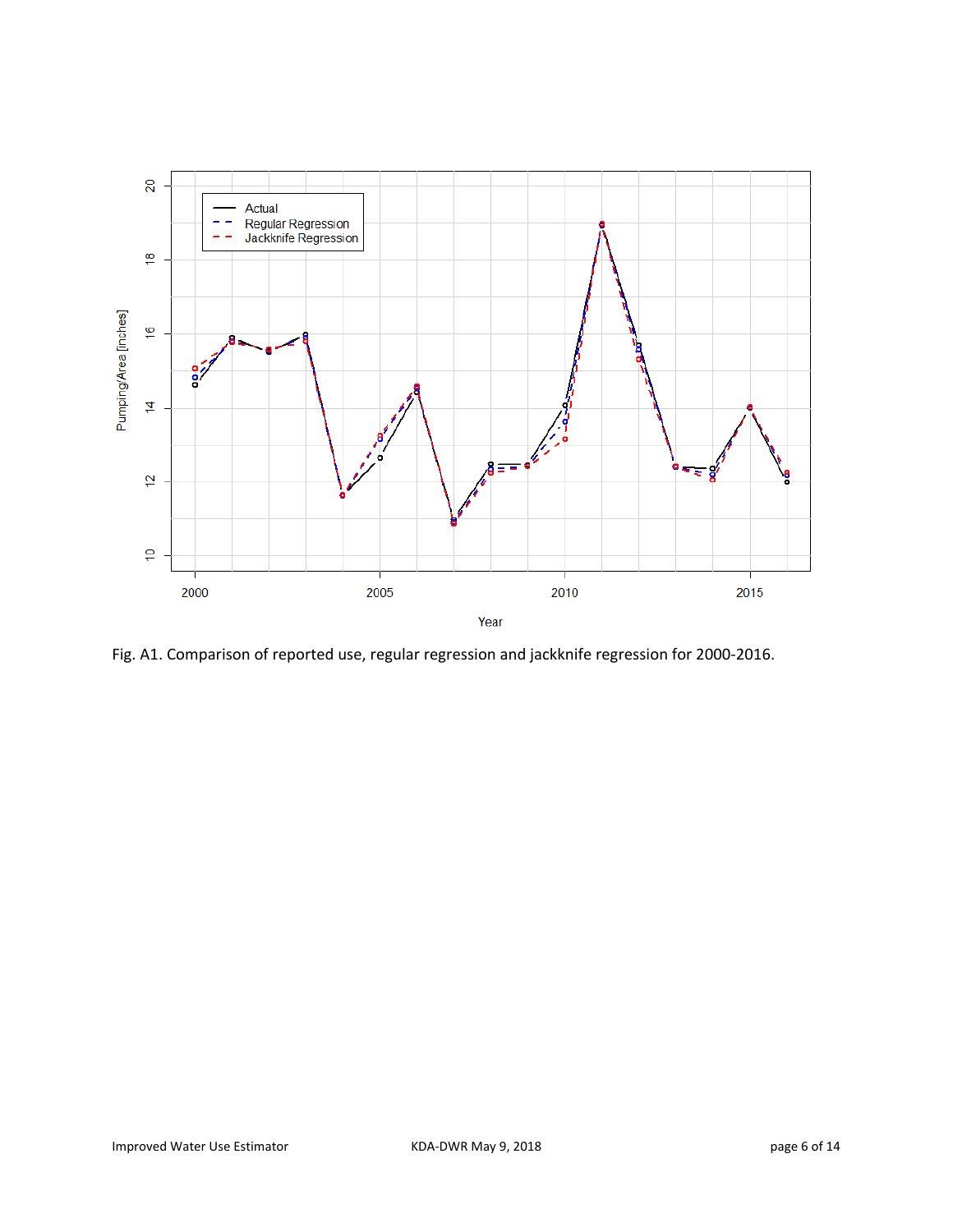

Fig. A1. Comparison of reported use, regular regression and jackknife regression for 2000‐2016.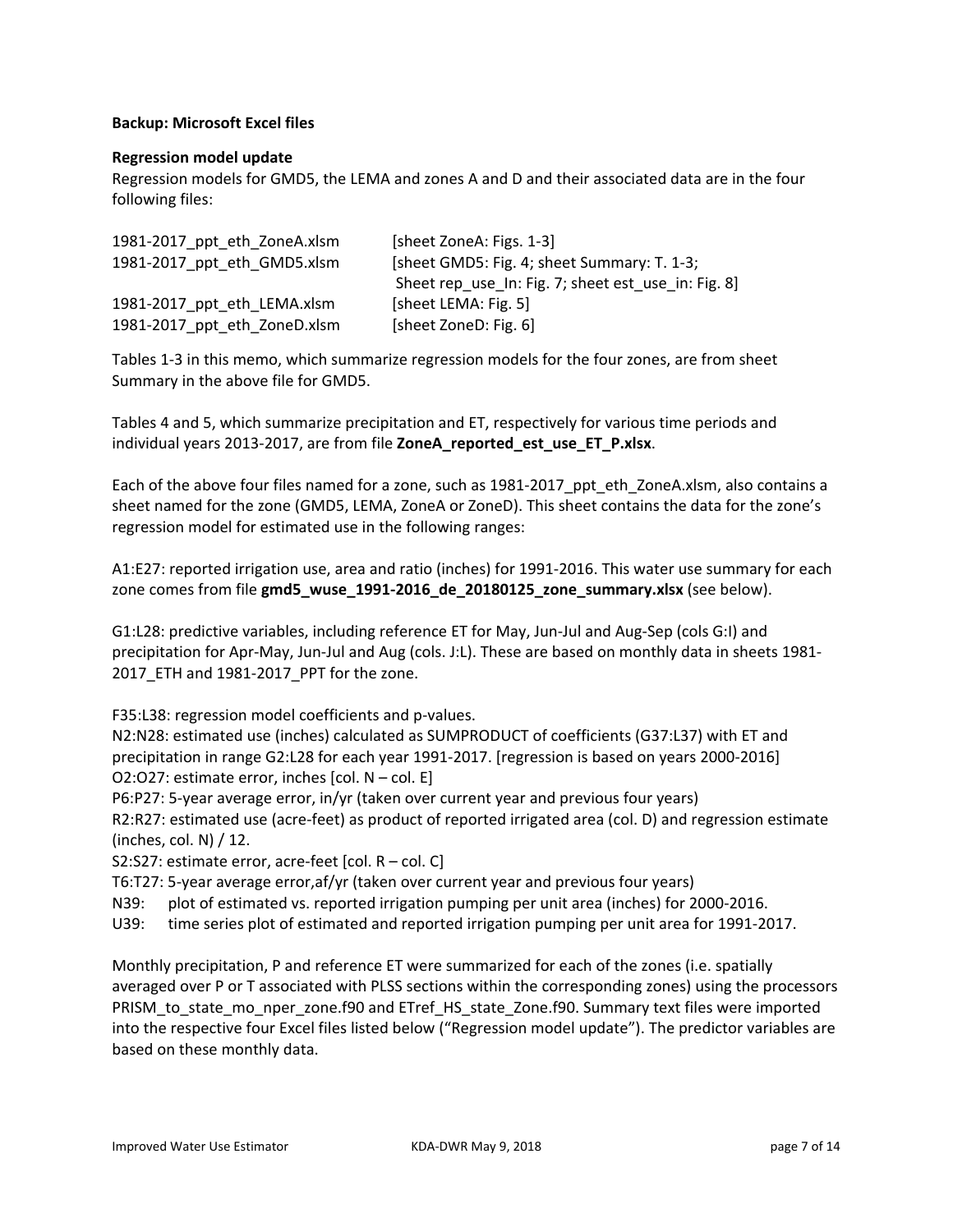#### **Backup: Microsoft Excel files**

#### **Regression model update**

Regression models for GMD5, the LEMA and zones A and D and their associated data are in the four following files:

| 1981-2017 ppt eth ZoneA.xlsm | [sheet ZoneA: Figs. 1-3]                            |
|------------------------------|-----------------------------------------------------|
| 1981-2017 ppt eth GMD5.xlsm  | [sheet GMD5: Fig. 4; sheet Summary: T. 1-3;         |
|                              | Sheet rep use In: Fig. 7; sheet est use in: Fig. 8] |
| 1981-2017 ppt eth LEMA.xlsm  | [sheet LEMA: Fig. 5]                                |
| 1981-2017_ppt_eth_ZoneD.xlsm | [sheet ZoneD: Fig. 6]                               |

Tables 1‐3 in this memo, which summarize regression models for the four zones, are from sheet Summary in the above file for GMD5.

Tables 4 and 5, which summarize precipitation and ET, respectively for various time periods and individual years 2013‐2017, are from file **ZoneA\_reported\_est\_use\_ET\_P.xlsx**.

Each of the above four files named for a zone, such as 1981-2017\_ppt\_eth\_ZoneA.xlsm, also contains a sheet named for the zone (GMD5, LEMA, ZoneA or ZoneD). This sheet contains the data for the zone's regression model for estimated use in the following ranges:

A1:E27: reported irrigation use, area and ratio (inches) for 1991‐2016. This water use summary for each zone comes from file **gmd5\_wuse\_1991‐2016\_de\_20180125\_zone\_summary.xlsx** (see below).

G1:L28: predictive variables, including reference ET for May, Jun‐Jul and Aug‐Sep (cols G:I) and precipitation for Apr‐May, Jun‐Jul and Aug (cols. J:L). These are based on monthly data in sheets 1981‐ 2017\_ETH and 1981‐2017\_PPT for the zone.

F35:L38: regression model coefficients and p-values.

N2:N28: estimated use (inches) calculated as SUMPRODUCT of coefficients (G37:L37) with ET and precipitation in range G2:L28 for each year 1991‐2017. [regression is based on years 2000‐2016] O2:O27: estimate error, inches [col. N – col. E]

P6:P27: 5‐year average error, in/yr (taken over current year and previous four years)

R2:R27: estimated use (acre-feet) as product of reported irrigated area (col. D) and regression estimate (inches, col. N) / 12.

S2:S27: estimate error, acre‐feet [col. R – col. C]

T6:T27: 5‐year average error,af/yr (taken over current year and previous four years)

N39: plot of estimated vs. reported irrigation pumping per unit area (inches) for 2000‐2016.

U39: time series plot of estimated and reported irrigation pumping per unit area for 1991‐2017.

Monthly precipitation, P and reference ET were summarized for each of the zones (i.e. spatially averaged over P or T associated with PLSS sections within the corresponding zones) using the processors PRISM\_to\_state\_mo\_nper\_zone.f90 and ETref\_HS\_state\_Zone.f90. Summary text files were imported into the respective four Excel files listed below ("Regression model update"). The predictor variables are based on these monthly data.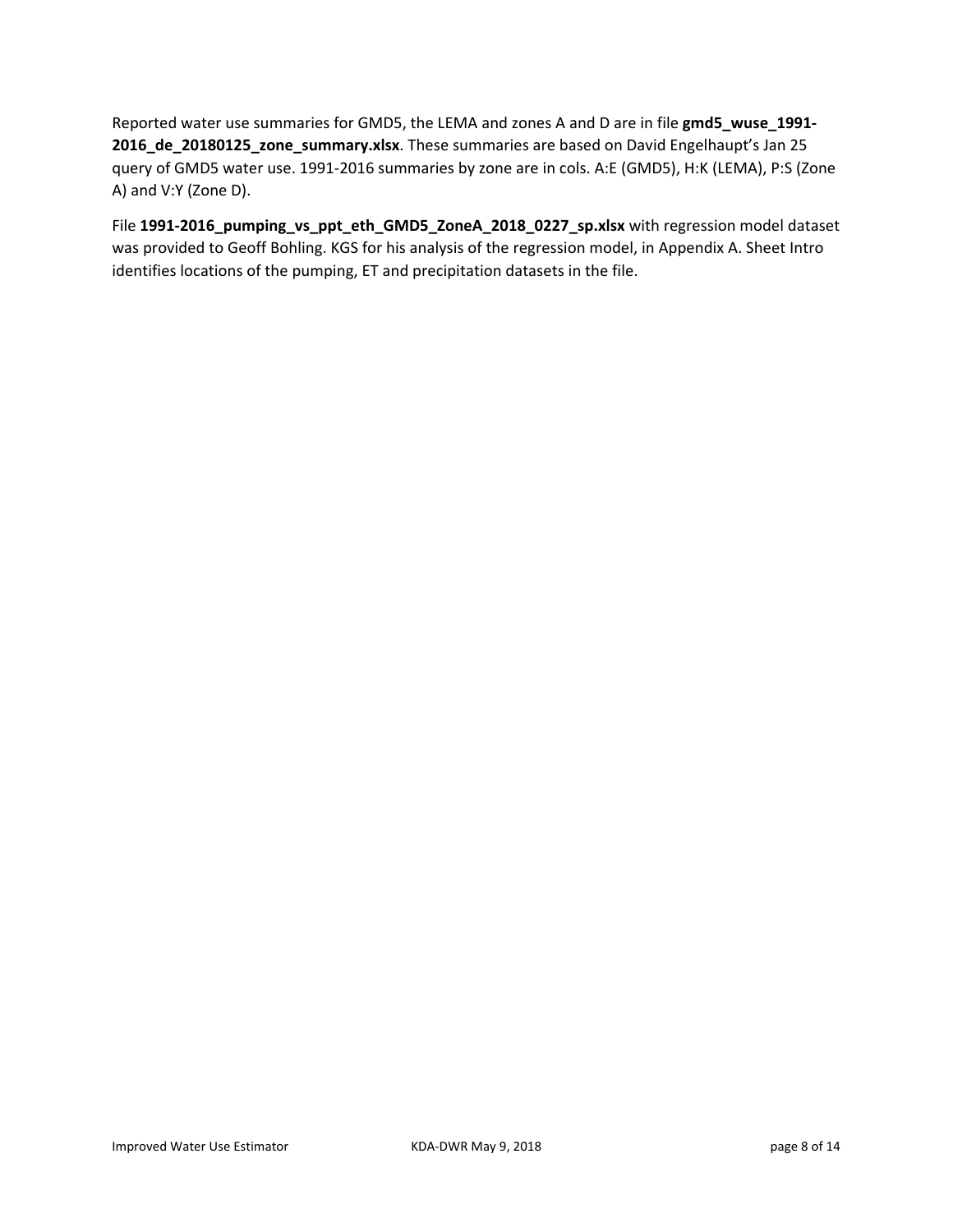Reported water use summaries for GMD5, the LEMA and zones A and D are in file **gmd5\_wuse\_1991‐ 2016\_de\_20180125\_zone\_summary.xlsx**. These summaries are based on David Engelhaupt's Jan 25 query of GMD5 water use. 1991‐2016 summaries by zone are in cols. A:E (GMD5), H:K (LEMA), P:S (Zone A) and V:Y (Zone D).

File **1991‐2016\_pumping\_vs\_ppt\_eth\_GMD5\_ZoneA\_2018\_0227\_sp.xlsx** with regression model dataset was provided to Geoff Bohling. KGS for his analysis of the regression model, in Appendix A. Sheet Intro identifies locations of the pumping, ET and precipitation datasets in the file.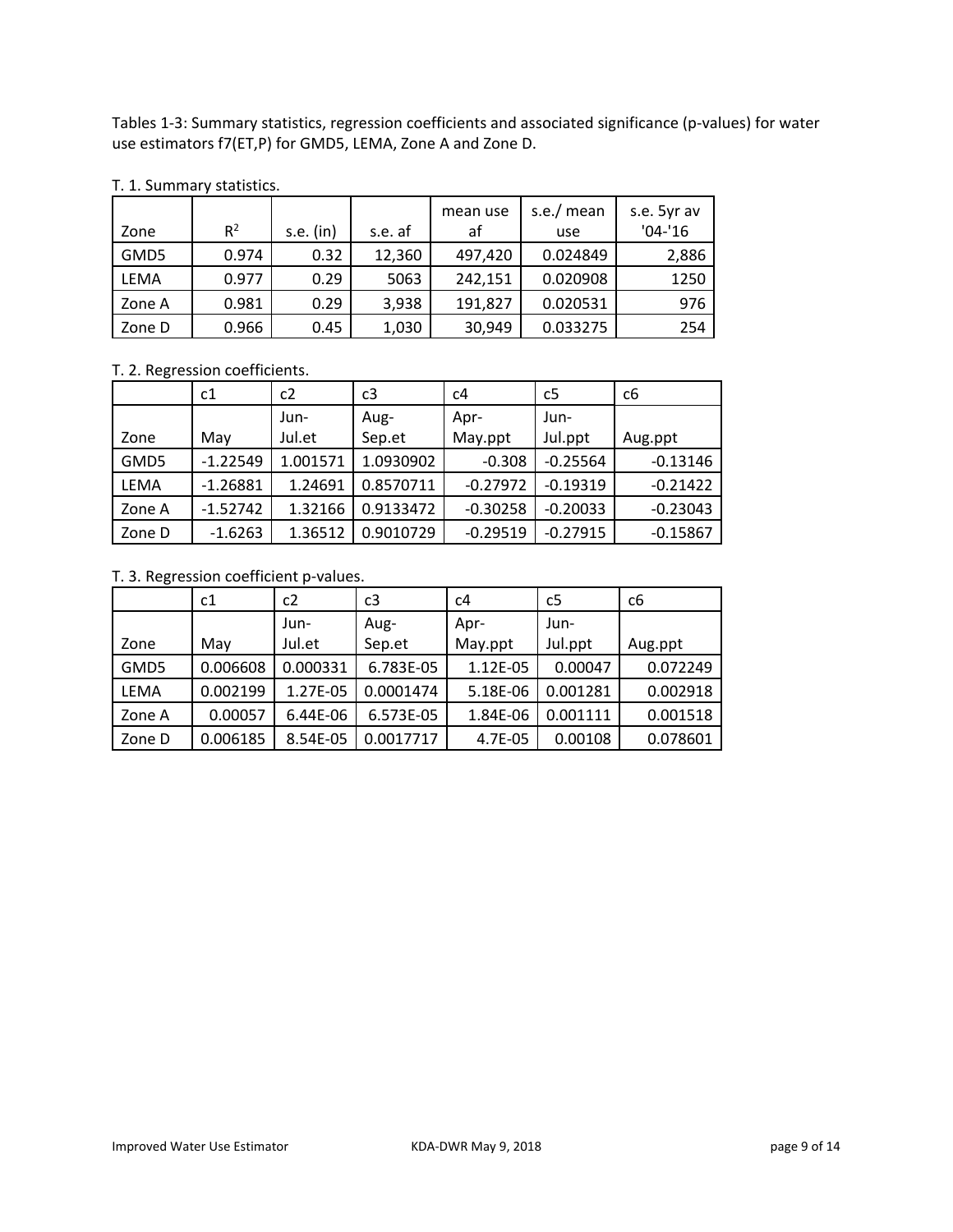Tables 1‐3: Summary statistics, regression coefficients and associated significance (p‐values) for water use estimators f7(ET,P) for GMD5, LEMA, Zone A and Zone D.

|        |       |           |         | mean use | s.e./ mean | s.e. 5yr av |
|--------|-------|-----------|---------|----------|------------|-------------|
| Zone   | $R^2$ | s.e. (in) | s.e. af | af       | use        | $'04 - 16$  |
| GMD5   | 0.974 | 0.32      | 12,360  | 497,420  | 0.024849   | 2,886       |
| LEMA   | 0.977 | 0.29      | 5063    | 242,151  | 0.020908   | 1250        |
| Zone A | 0.981 | 0.29      | 3,938   | 191,827  | 0.020531   | 976         |
| Zone D | 0.966 | 0.45      | 1,030   | 30,949   | 0.033275   | 254         |

#### T. 1. Summary statistics.

#### T. 2. Regression coefficients.

|        | c1         | c2       | c3        | c4         | c <sub>5</sub> | c <sub>6</sub> |
|--------|------------|----------|-----------|------------|----------------|----------------|
|        |            | Jun-     | Aug-      | Apr-       | Jun-           |                |
| Zone   | Mav        | Jul.et   | Sep.et    | May.ppt    | Jul.ppt        | Aug.ppt        |
| GMD5   | $-1.22549$ | 1.001571 | 1.0930902 | $-0.308$   | $-0.25564$     | $-0.13146$     |
| LEMA   | $-1.26881$ | 1.24691  | 0.8570711 | $-0.27972$ | $-0.19319$     | $-0.21422$     |
| Zone A | $-1.52742$ | 1.32166  | 0.9133472 | $-0.30258$ | $-0.20033$     | $-0.23043$     |
| Zone D | $-1.6263$  | 1.36512  | 0.9010729 | $-0.29519$ | $-0.27915$     | $-0.15867$     |

#### T. 3. Regression coefficient p‐values.

|        | c1       | c2         | c3        | c4       | c5       | c <sub>6</sub> |
|--------|----------|------------|-----------|----------|----------|----------------|
|        |          | Jun-       | Aug-      | Apr-     | Jun-     |                |
| Zone   | Mav      | Jul.et     | Sep.et    | May.ppt  | Jul.ppt  | Aug.ppt        |
| GMD5   | 0.006608 | 0.000331   | 6.783E-05 | 1.12E-05 | 0.00047  | 0.072249       |
| LEMA   | 0.002199 | 1.27E-05   | 0.0001474 | 5.18E-06 | 0.001281 | 0.002918       |
| Zone A | 0.00057  | $6.44E-06$ | 6.573E-05 | 1.84E-06 | 0.001111 | 0.001518       |
| Zone D | 0.006185 | 8.54E-05   | 0.0017717 | 4.7E-05  | 0.00108  | 0.078601       |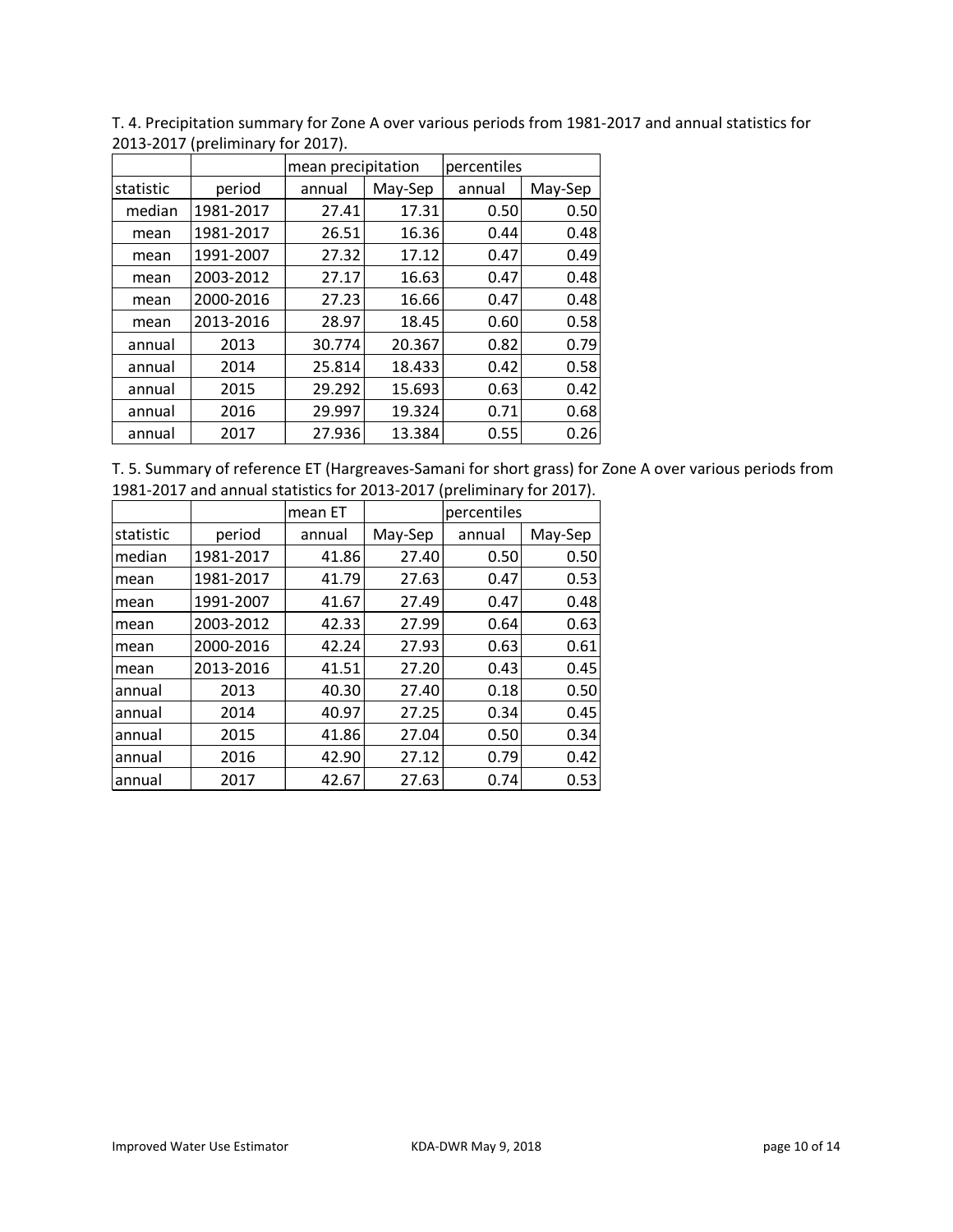|           | $\frac{1}{2}$ |                    |         |             |         |  |
|-----------|---------------|--------------------|---------|-------------|---------|--|
|           |               | mean precipitation |         | percentiles |         |  |
| statistic | period        | annual             | May-Sep | annual      | May-Sep |  |
| median    | 1981-2017     | 27.41              | 17.31   | 0.50        | 0.50    |  |
| mean      | 1981-2017     | 26.51              | 16.36   | 0.44        | 0.48    |  |
| mean      | 1991-2007     | 27.32              | 17.12   | 0.47        | 0.49    |  |
| mean      | 2003-2012     | 27.17              | 16.63   | 0.47        | 0.48    |  |
| mean      | 2000-2016     | 27.23              | 16.66   | 0.47        | 0.48    |  |
| mean      | 2013-2016     | 28.97              | 18.45   | 0.60        | 0.58    |  |
| annual    | 2013          | 30.774             | 20.367  | 0.82        | 0.79    |  |
| annual    | 2014          | 25.814             | 18.433  | 0.42        | 0.58    |  |
| annual    | 2015          | 29.292             | 15.693  | 0.63        | 0.42    |  |
| annual    | 2016          | 29.997             | 19.324  | 0.71        | 0.68    |  |
| annual    | 2017          | 27.936             | 13.384  | 0.55        | 0.26    |  |

T. 4. Precipitation summary for Zone A over various periods from 1981‐2017 and annual statistics for 2013‐2017 (preliminary for 2017).

| T. 5. Summary of reference ET (Hargreaves-Samani for short grass) for Zone A over various periods from |
|--------------------------------------------------------------------------------------------------------|
| 1981-2017 and annual statistics for 2013-2017 (preliminary for 2017).                                  |

|           |           | mean ET | percentiles |        |         |
|-----------|-----------|---------|-------------|--------|---------|
| statistic | period    | annual  | May-Sep     | annual | May-Sep |
| median    | 1981-2017 | 41.86   | 27.40       | 0.50   | 0.50    |
| mean      | 1981-2017 | 41.79   | 27.63       | 0.47   | 0.53    |
| mean      | 1991-2007 | 41.67   | 27.49       | 0.47   | 0.48    |
| mean      | 2003-2012 | 42.33   | 27.99       | 0.64   | 0.63    |
| mean      | 2000-2016 | 42.24   | 27.93       | 0.63   | 0.61    |
| mean      | 2013-2016 | 41.51   | 27.20       | 0.43   | 0.45    |
| annual    | 2013      | 40.30   | 27.40       | 0.18   | 0.50    |
| annual    | 2014      | 40.97   | 27.25       | 0.34   | 0.45    |
| annual    | 2015      | 41.86   | 27.04       | 0.50   | 0.34    |
| annual    | 2016      | 42.90   | 27.12       | 0.79   | 0.42    |
| annual    | 2017      | 42.67   | 27.63       | 0.74   | 0.53    |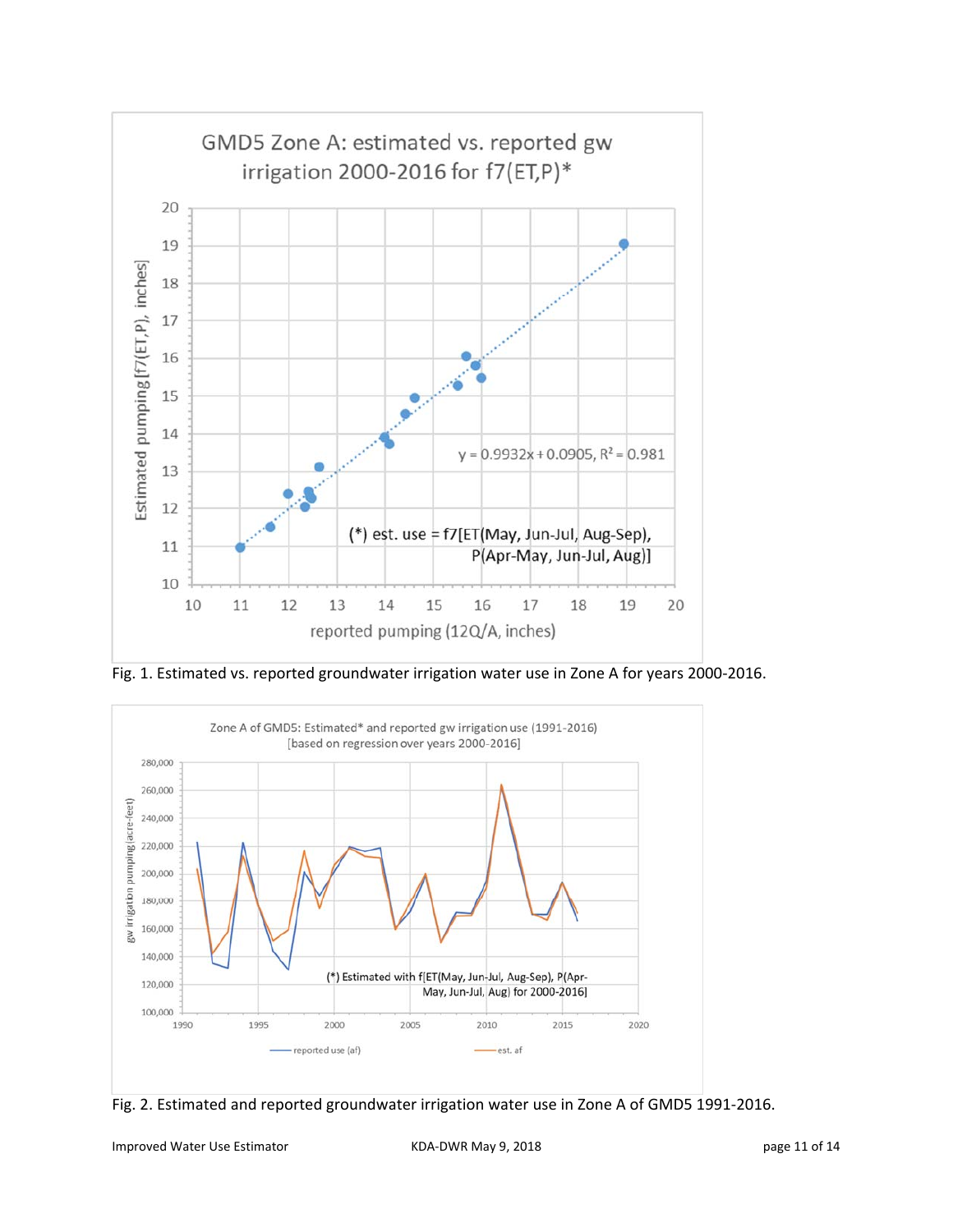

Fig. 1. Estimated vs. reported groundwater irrigation water use in Zone A for years 2000‐2016.



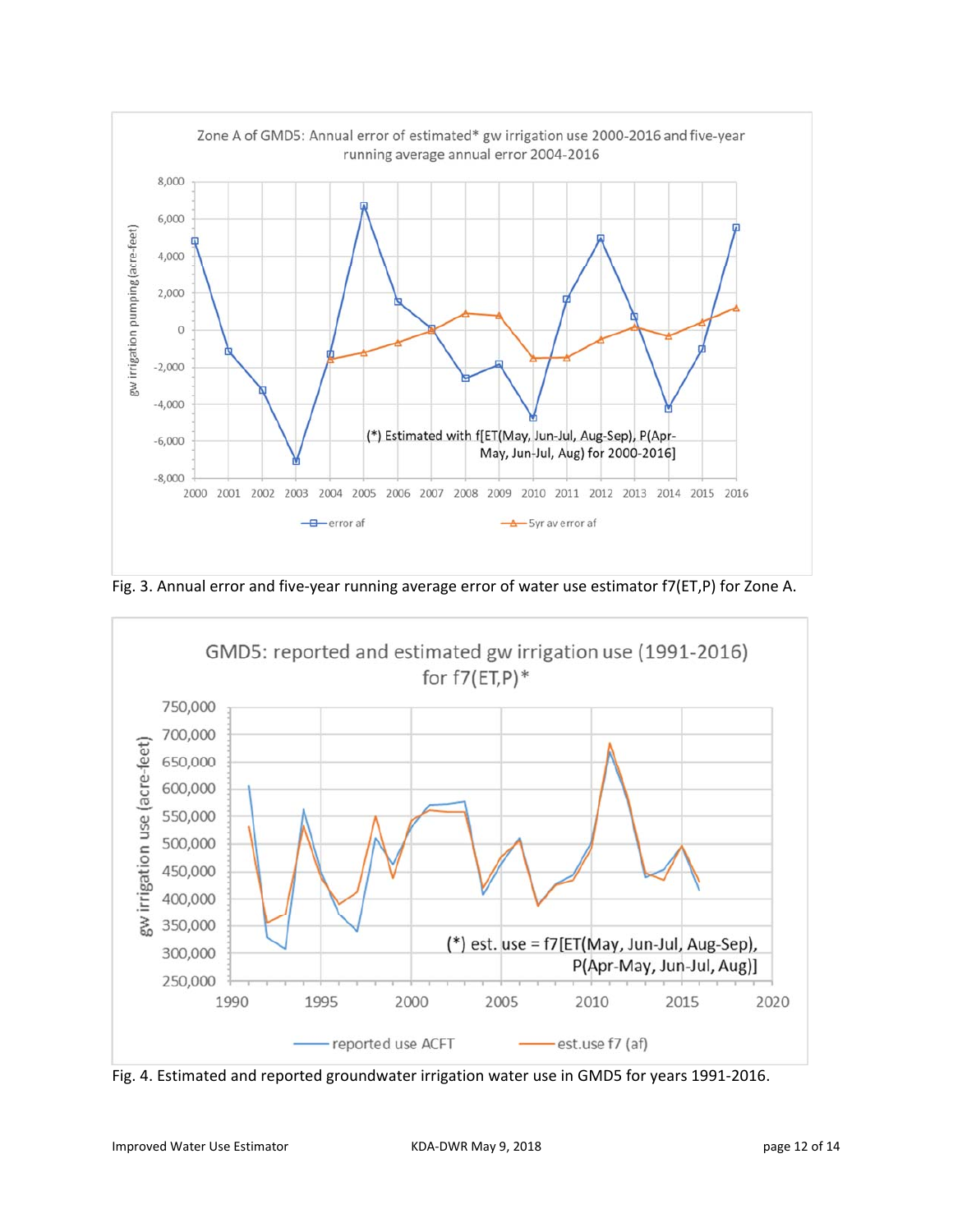

Fig. 3. Annual error and five-year running average error of water use estimator f7(ET,P) for Zone A.



Fig. 4. Estimated and reported groundwater irrigation water use in GMD5 for years 1991‐2016.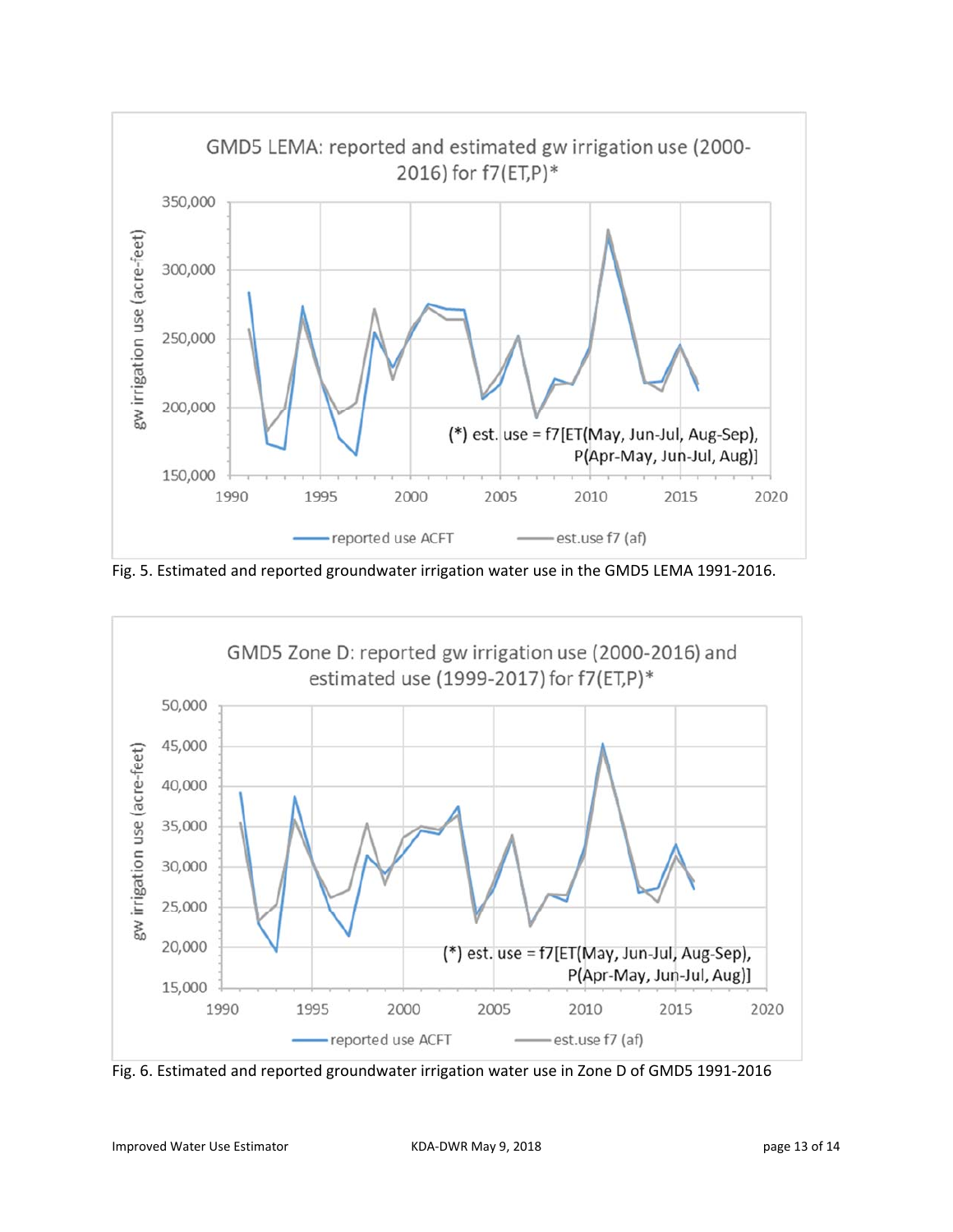

Fig. 5. Estimated and reported groundwater irrigation water use in the GMD5 LEMA 1991‐2016.



Fig. 6. Estimated and reported groundwater irrigation water use in Zone D of GMD5 1991‐2016